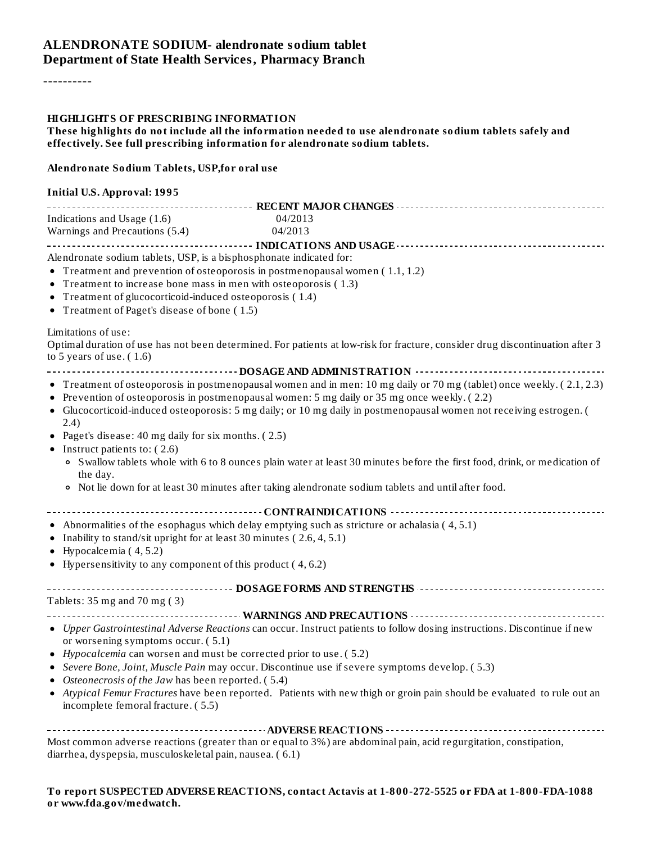### **ALENDRONATE SODIUM- alendronate sodium tablet Department of State Health Services, Pharmacy Branch**

----------

#### **HIGHLIGHTS OF PRESCRIBING INFORMATION**

#### **These highlights do not include all the information needed to use alendronate sodium tablets safely and effectively. See full prescribing information for alendronate sodium tablets.**

#### **Alendronate Sodium Tablets, USP,for oral use**

| <b>Initial U.S. Approval: 1995</b>                                                                                                                                                                                                                                                                                                   |                                                                                                                                                                                                                                                                                                                                                                                                                                                                                                                                                                                   |
|--------------------------------------------------------------------------------------------------------------------------------------------------------------------------------------------------------------------------------------------------------------------------------------------------------------------------------------|-----------------------------------------------------------------------------------------------------------------------------------------------------------------------------------------------------------------------------------------------------------------------------------------------------------------------------------------------------------------------------------------------------------------------------------------------------------------------------------------------------------------------------------------------------------------------------------|
| Indications and Usage (1.6)<br>Warnings and Precautions (5.4)                                                                                                                                                                                                                                                                        | 04/2013<br>04/2013                                                                                                                                                                                                                                                                                                                                                                                                                                                                                                                                                                |
|                                                                                                                                                                                                                                                                                                                                      |                                                                                                                                                                                                                                                                                                                                                                                                                                                                                                                                                                                   |
| Alendronate sodium tablets, USP, is a bisphosphonate indicated for:<br>• Treatment and prevention of osteoporosis in postmenopausal women (1.1, 1.2)<br>• Treatment to increase bone mass in men with osteoporosis (1.3)<br>• Treatment of glucocorticoid-induced osteoporosis (1.4)<br>• Treatment of Paget's disease of bone (1.5) |                                                                                                                                                                                                                                                                                                                                                                                                                                                                                                                                                                                   |
| Limitations of use:<br>to 5 years of use. $(1.6)$                                                                                                                                                                                                                                                                                    | Optimal duration of use has not been determined. For patients at low-risk for fracture, consider drug discontinuation after 3                                                                                                                                                                                                                                                                                                                                                                                                                                                     |
|                                                                                                                                                                                                                                                                                                                                      |                                                                                                                                                                                                                                                                                                                                                                                                                                                                                                                                                                                   |
| 2.4)<br>• Paget's disease: 40 mg daily for six months. (2.5)<br>• Instruct patients to: $(2.6)$<br>the day.                                                                                                                                                                                                                          | • Treatment of osteoporosis in postmenopausal women and in men: 10 mg daily or 70 mg (tablet) once weekly. (2.1, 2.3)<br>• Prevention of osteoporosis in postmenopausal women: 5 mg daily or 35 mg once weekly. (2.2)<br>· Glucocorticoid-induced osteoporosis: 5 mg daily; or 10 mg daily in postmenopausal women not receiving estrogen. (<br>• Swallow tablets whole with 6 to 8 ounces plain water at least 30 minutes before the first food, drink, or medication of<br>• Not lie down for at least 30 minutes after taking alendronate sodium tablets and until after food. |
|                                                                                                                                                                                                                                                                                                                                      |                                                                                                                                                                                                                                                                                                                                                                                                                                                                                                                                                                                   |
| • Inability to stand/sit upright for at least 30 minutes (2.6, 4, 5.1)<br>• Hypocalcemia $(4, 5.2)$<br>• Hypersensitivity to any component of this product $(4, 6.2)$                                                                                                                                                                | • Abnormalities of the esophagus which delay emptying such as stricture or achalasia (4, 5.1)                                                                                                                                                                                                                                                                                                                                                                                                                                                                                     |
|                                                                                                                                                                                                                                                                                                                                      |                                                                                                                                                                                                                                                                                                                                                                                                                                                                                                                                                                                   |
| Tablets: 35 mg and 70 mg (3)                                                                                                                                                                                                                                                                                                         |                                                                                                                                                                                                                                                                                                                                                                                                                                                                                                                                                                                   |
| or worsening symptoms occur. (5.1)<br>• Hypocalcemia can worsen and must be corrected prior to use. (5.2)<br>Osteonecrosis of the Jaw has been reported. (5.4)<br>incomplete femoral fracture. (5.5)                                                                                                                                 | • Upper Gastrointestinal Adverse Reactions can occur. Instruct patients to follow dosing instructions. Discontinue if new<br>Severe Bone, Joint, Muscle Pain may occur. Discontinue use if severe symptoms develop. (5.3)<br>• Atypical Femur Fractures have been reported. Patients with new thigh or groin pain should be evaluated to rule out an                                                                                                                                                                                                                              |
| diarrhea, dyspepsia, musculoskeletal pain, nausea. (6.1)                                                                                                                                                                                                                                                                             | Most common adverse reactions (greater than or equal to 3%) are abdominal pain, acid regurgitation, constipation,                                                                                                                                                                                                                                                                                                                                                                                                                                                                 |

#### **To report SUSPECTED ADVERSE REACTIONS, contact Actavis at 1-800-272-5525 or FDA at 1-800-FDA-1088 or www.fda.gov/medwatch.**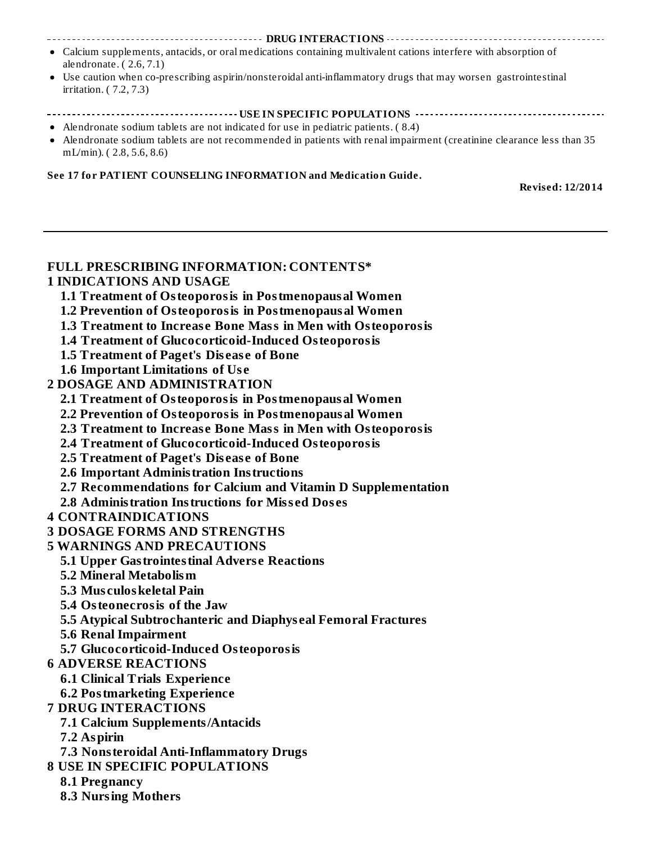- **DRUG INTERACTIONS** Calcium supplements, antacids, or oral medications containing multivalent cations interfere with absorption of alendronate. ( 2.6, 7.1)
- Use caution when co-prescribing aspirin/nonsteroidal anti-inflammatory drugs that may worsen gastrointestinal irritation. ( 7.2, 7.3)
- **USE IN SPECIFIC POPULATIONS**
- Alendronate sodium tablets are not indicated for use in pediatric patients. ( 8.4)
- Alendronate sodium tablets are not recommended in patients with renal impairment (creatinine clearance less than 35 mL/min). ( 2.8, 5.6, 8.6)
- **See 17 for PATIENT COUNSELING INFORMATION and Medication Guide.**

**Revised: 12/2014**

### **FULL PRESCRIBING INFORMATION: CONTENTS\* 1 INDICATIONS AND USAGE**

- **1.1 Treatment of Osteoporosis in Postmenopausal Women**
- **1.2 Prevention of Osteoporosis in Postmenopausal Women**
- **1.3 Treatment to Increas e Bone Mass in Men with Osteoporosis**
- **1.4 Treatment of Glucocorticoid-Induced Osteoporosis**
- **1.5 Treatment of Paget's Dis eas e of Bone**
- **1.6 Important Limitations of Us e**
- **2 DOSAGE AND ADMINISTRATION**
	- **2.1 Treatment of Osteoporosis in Postmenopausal Women**
	- **2.2 Prevention of Osteoporosis in Postmenopausal Women**
	- **2.3 Treatment to Increas e Bone Mass in Men with Osteoporosis**
	- **2.4 Treatment of Glucocorticoid-Induced Osteoporosis**
	- **2.5 Treatment of Paget's Dis eas e of Bone**
	- **2.6 Important Administration Instructions**
	- **2.7 Recommendations for Calcium and Vitamin D Supplementation**
	- **2.8 Administration Instructions for Miss ed Dos es**
- **4 CONTRAINDICATIONS**
- **3 DOSAGE FORMS AND STRENGTHS**
- **5 WARNINGS AND PRECAUTIONS**
	- **5.1 Upper Gastrointestinal Advers e Reactions**
	- **5.2 Mineral Metabolism**
	- **5.3 Mus culoskeletal Pain**
	- **5.4 Osteonecrosis of the Jaw**
	- **5.5 Atypical Subtrochanteric and Diaphys eal Femoral Fractures**
	- **5.6 Renal Impairment**
- **5.7 Glucocorticoid-Induced Osteoporosis**
- **6 ADVERSE REACTIONS**
	- **6.1 Clinical Trials Experience**
	- **6.2 Postmarketing Experience**
- **7 DRUG INTERACTIONS**
	- **7.1 Calcium Supplements/Antacids**
	- **7.2 Aspirin**
	- **7.3 Nonsteroidal Anti-Inflammatory Drugs**
- **8 USE IN SPECIFIC POPULATIONS**
	- **8.1 Pregnancy**
	- **8.3 Nursing Mothers**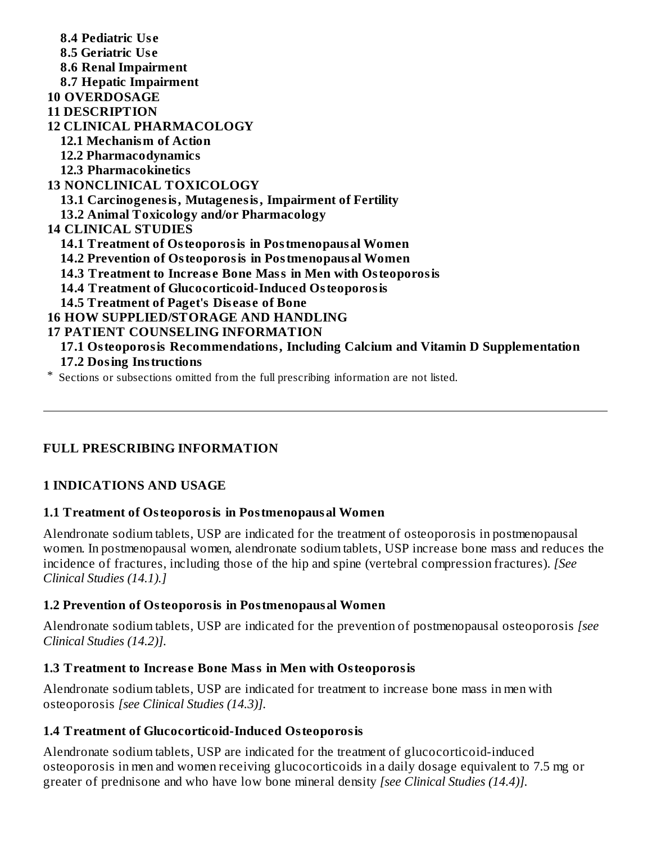**8.4 Pediatric Us e 8.5 Geriatric Us e 8.6 Renal Impairment 8.7 Hepatic Impairment 10 OVERDOSAGE 11 DESCRIPTION 12 CLINICAL PHARMACOLOGY 12.1 Mechanism of Action 12.2 Pharmacodynamics 12.3 Pharmacokinetics 13 NONCLINICAL TOXICOLOGY 13.1 Carcinogenesis, Mutagenesis, Impairment of Fertility 13.2 Animal Toxicology and/or Pharmacology 14 CLINICAL STUDIES 14.1 Treatment of Osteoporosis in Postmenopausal Women 14.2 Prevention of Osteoporosis in Postmenopausal Women 14.3 Treatment to Increas e Bone Mass in Men with Osteoporosis 14.4 Treatment of Glucocorticoid-Induced Osteoporosis 14.5 Treatment of Paget's Dis eas e of Bone 16 HOW SUPPLIED/STORAGE AND HANDLING 17 PATIENT COUNSELING INFORMATION 17.1 Osteoporosis Recommendations, Including Calcium and Vitamin D Supplementation 17.2 Dosing Instructions**

\* Sections or subsections omitted from the full prescribing information are not listed.

# **FULL PRESCRIBING INFORMATION**

### **1 INDICATIONS AND USAGE**

### **1.1 Treatment of Osteoporosis in Postmenopausal Women**

Alendronate sodium tablets, USP are indicated for the treatment of osteoporosis in postmenopausal women. In postmenopausal women, alendronate sodium tablets, USP increase bone mass and reduces the incidence of fractures, including those of the hip and spine (vertebral compression fractures). *[See Clinical Studies (14.1).]*

### **1.2 Prevention of Osteoporosis in Postmenopausal Women**

Alendronate sodium tablets, USP are indicated for the prevention of postmenopausal osteoporosis *[see Clinical Studies (14.2)].*

### **1.3 Treatment to Increas e Bone Mass in Men with Osteoporosis**

Alendronate sodium tablets, USP are indicated for treatment to increase bone mass in men with osteoporosis *[see Clinical Studies (14.3)].*

### **1.4 Treatment of Glucocorticoid-Induced Osteoporosis**

Alendronate sodium tablets, USP are indicated for the treatment of glucocorticoid-induced osteoporosis in men and women receiving glucocorticoids in a daily dosage equivalent to 7.5 mg or greater of prednisone and who have low bone mineral density *[see Clinical Studies (14.4)].*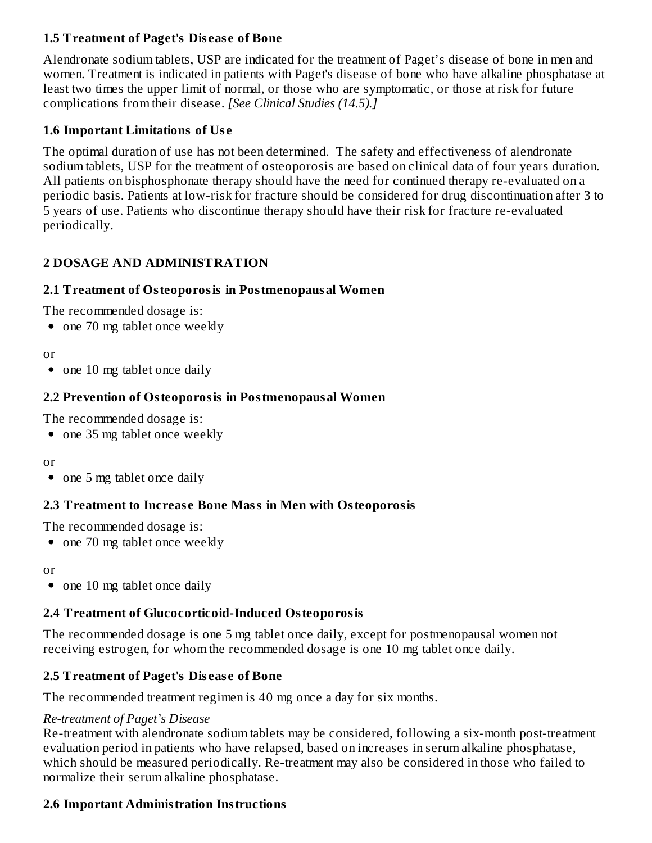# **1.5 Treatment of Paget's Dis eas e of Bone**

Alendronate sodium tablets, USP are indicated for the treatment of Paget's disease of bone in men and women. Treatment is indicated in patients with Paget's disease of bone who have alkaline phosphatase at least two times the upper limit of normal, or those who are symptomatic, or those at risk for future complications from their disease. *[See Clinical Studies (14.5).]*

### **1.6 Important Limitations of Us e**

The optimal duration of use has not been determined. The safety and effectiveness of alendronate sodium tablets, USP for the treatment of osteoporosis are based on clinical data of four years duration. All patients on bisphosphonate therapy should have the need for continued therapy re-evaluated on a periodic basis. Patients at low-risk for fracture should be considered for drug discontinuation after 3 to 5 years of use. Patients who discontinue therapy should have their risk for fracture re-evaluated periodically.

# **2 DOSAGE AND ADMINISTRATION**

### **2.1 Treatment of Osteoporosis in Postmenopausal Women**

The recommended dosage is:

• one 70 mg tablet once weekly

### or

• one 10 mg tablet once daily

### **2.2 Prevention of Osteoporosis in Postmenopausal Women**

The recommended dosage is:

• one 35 mg tablet once weekly

or

• one 5 mg tablet once daily

### **2.3 Treatment to Increas e Bone Mass in Men with Osteoporosis**

The recommended dosage is:

• one 70 mg tablet once weekly

or

one 10 mg tablet once daily  $\bullet$ 

# **2.4 Treatment of Glucocorticoid-Induced Osteoporosis**

The recommended dosage is one 5 mg tablet once daily, except for postmenopausal women not receiving estrogen, for whom the recommended dosage is one 10 mg tablet once daily.

# **2.5 Treatment of Paget's Dis eas e of Bone**

The recommended treatment regimen is 40 mg once a day for six months.

# *Re-treatment of Paget's Disease*

Re-treatment with alendronate sodium tablets may be considered, following a six-month post-treatment evaluation period in patients who have relapsed, based on increases in serum alkaline phosphatase, which should be measured periodically. Re-treatment may also be considered in those who failed to normalize their serum alkaline phosphatase.

### **2.6 Important Administration Instructions**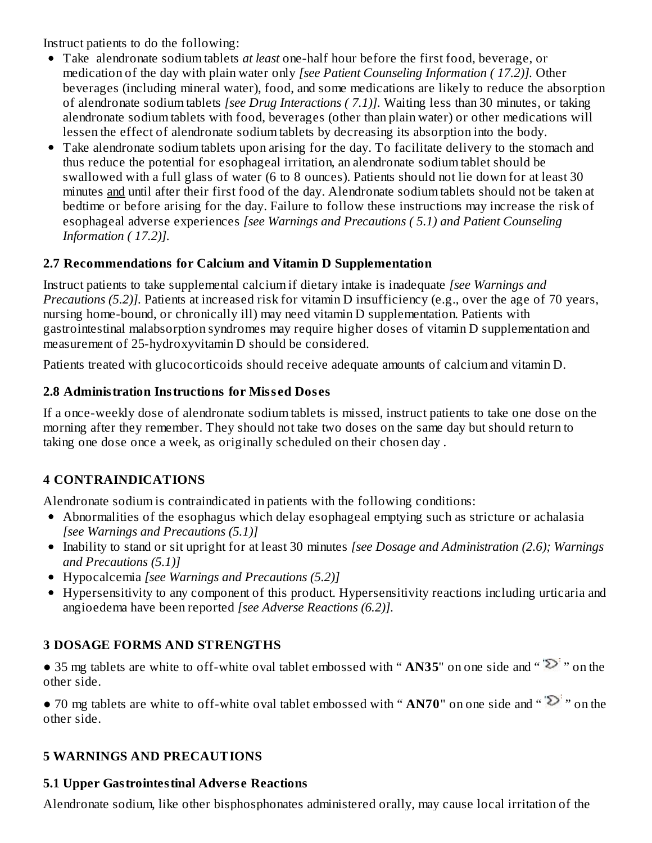Instruct patients to do the following:

- Take alendronate sodium tablets *at least* one-half hour before the first food, beverage, or medication of the day with plain water only *[see Patient Counseling Information ( 17.2)].* Other beverages (including mineral water), food, and some medications are likely to reduce the absorption of alendronate sodium tablets *[see Drug Interactions ( 7.1)].* Waiting less than 30 minutes, or taking alendronate sodium tablets with food, beverages (other than plain water) or other medications will lessen the effect of alendronate sodium tablets by decreasing its absorption into the body.
- Take alendronate sodium tablets upon arising for the day. To facilitate delivery to the stomach and thus reduce the potential for esophageal irritation, an alendronate sodium tablet should be swallowed with a full glass of water (6 to 8 ounces). Patients should not lie down for at least 30 minutes and until after their first food of the day. Alendronate sodium tablets should not be taken at bedtime or before arising for the day. Failure to follow these instructions may increase the risk of esophageal adverse experiences *[see Warnings and Precautions ( 5.1) and Patient Counseling Information ( 17.2)].*

# **2.7 Recommendations for Calcium and Vitamin D Supplementation**

Instruct patients to take supplemental calcium if dietary intake is inadequate *[see Warnings and Precautions (5.2)].* Patients at increased risk for vitamin D insufficiency (e.g., over the age of 70 years, nursing home-bound, or chronically ill) may need vitamin D supplementation. Patients with gastrointestinal malabsorption syndromes may require higher doses of vitamin D supplementation and measurement of 25-hydroxyvitamin D should be considered.

Patients treated with glucocorticoids should receive adequate amounts of calcium and vitamin D.

# **2.8 Administration Instructions for Miss ed Dos es**

If a once-weekly dose of alendronate sodium tablets is missed, instruct patients to take one dose on the morning after they remember. They should not take two doses on the same day but should return to taking one dose once a week, as originally scheduled on their chosen day *.*

# **4 CONTRAINDICATIONS**

Alendronate sodium is contraindicated in patients with the following conditions:

- Abnormalities of the esophagus which delay esophageal emptying such as stricture or achalasia *[see Warnings and Precautions (5.1)]*
- Inability to stand or sit upright for at least 30 minutes *[see Dosage and Administration (2.6); Warnings and Precautions (5.1)]*
- Hypocalcemia *[see Warnings and Precautions (5.2)]*
- Hypersensitivity to any component of this product. Hypersensitivity reactions including urticaria and angioedema have been reported *[see Adverse Reactions (6.2)].*

# **3 DOSAGE FORMS AND STRENGTHS**

• 35 mg tablets are white to off-white oval tablet embossed with "**AN35**" on one side and " $\sum$ " on the other side.

• 70 mg tablets are white to off-white oval tablet embossed with "AN70" on one side and "<sup>></sup> " on the other side.

# **5 WARNINGS AND PRECAUTIONS**

# **5.1 Upper Gastrointestinal Advers e Reactions**

Alendronate sodium, like other bisphosphonates administered orally, may cause local irritation of the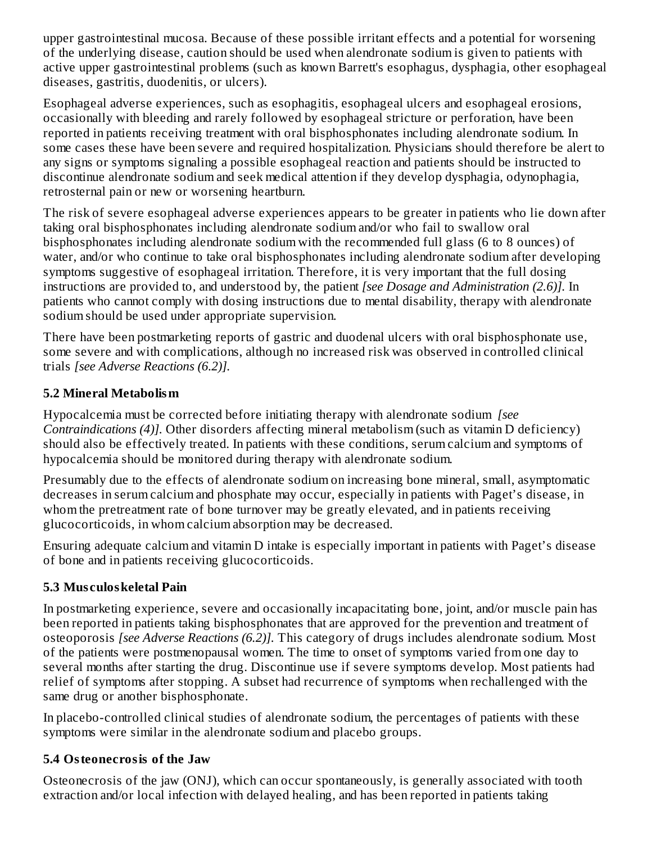upper gastrointestinal mucosa. Because of these possible irritant effects and a potential for worsening of the underlying disease, caution should be used when alendronate sodium is given to patients with active upper gastrointestinal problems (such as known Barrett's esophagus, dysphagia, other esophageal diseases, gastritis, duodenitis, or ulcers).

Esophageal adverse experiences, such as esophagitis, esophageal ulcers and esophageal erosions, occasionally with bleeding and rarely followed by esophageal stricture or perforation, have been reported in patients receiving treatment with oral bisphosphonates including alendronate sodium. In some cases these have been severe and required hospitalization. Physicians should therefore be alert to any signs or symptoms signaling a possible esophageal reaction and patients should be instructed to discontinue alendronate sodium and seek medical attention if they develop dysphagia, odynophagia, retrosternal pain or new or worsening heartburn.

The risk of severe esophageal adverse experiences appears to be greater in patients who lie down after taking oral bisphosphonates including alendronate sodium and/or who fail to swallow oral bisphosphonates including alendronate sodium with the recommended full glass (6 to 8 ounces) of water, and/or who continue to take oral bisphosphonates including alendronate sodium after developing symptoms suggestive of esophageal irritation. Therefore, it is very important that the full dosing instructions are provided to, and understood by, the patient *[see Dosage and Administration (2.6)].* In patients who cannot comply with dosing instructions due to mental disability, therapy with alendronate sodium should be used under appropriate supervision.

There have been postmarketing reports of gastric and duodenal ulcers with oral bisphosphonate use, some severe and with complications, although no increased risk was observed in controlled clinical trials *[see Adverse Reactions (6.2)].*

# **5.2 Mineral Metabolism**

Hypocalcemia must be corrected before initiating therapy with alendronate sodium *[see Contraindications (4)].* Other disorders affecting mineral metabolism (such as vitamin D deficiency) should also be effectively treated. In patients with these conditions, serum calcium and symptoms of hypocalcemia should be monitored during therapy with alendronate sodium.

Presumably due to the effects of alendronate sodium on increasing bone mineral, small, asymptomatic decreases in serum calcium and phosphate may occur, especially in patients with Paget's disease, in whom the pretreatment rate of bone turnover may be greatly elevated, and in patients receiving glucocorticoids, in whom calcium absorption may be decreased.

Ensuring adequate calcium and vitamin D intake is especially important in patients with Paget's disease of bone and in patients receiving glucocorticoids.

# **5.3 Mus culoskeletal Pain**

In postmarketing experience, severe and occasionally incapacitating bone, joint, and/or muscle pain has been reported in patients taking bisphosphonates that are approved for the prevention and treatment of osteoporosis *[see Adverse Reactions (6.2)].* This category of drugs includes alendronate sodium. Most of the patients were postmenopausal women. The time to onset of symptoms varied from one day to several months after starting the drug. Discontinue use if severe symptoms develop. Most patients had relief of symptoms after stopping. A subset had recurrence of symptoms when rechallenged with the same drug or another bisphosphonate.

In placebo-controlled clinical studies of alendronate sodium, the percentages of patients with these symptoms were similar in the alendronate sodium and placebo groups.

# **5.4 Osteonecrosis of the Jaw**

Osteonecrosis of the jaw (ONJ), which can occur spontaneously, is generally associated with tooth extraction and/or local infection with delayed healing, and has been reported in patients taking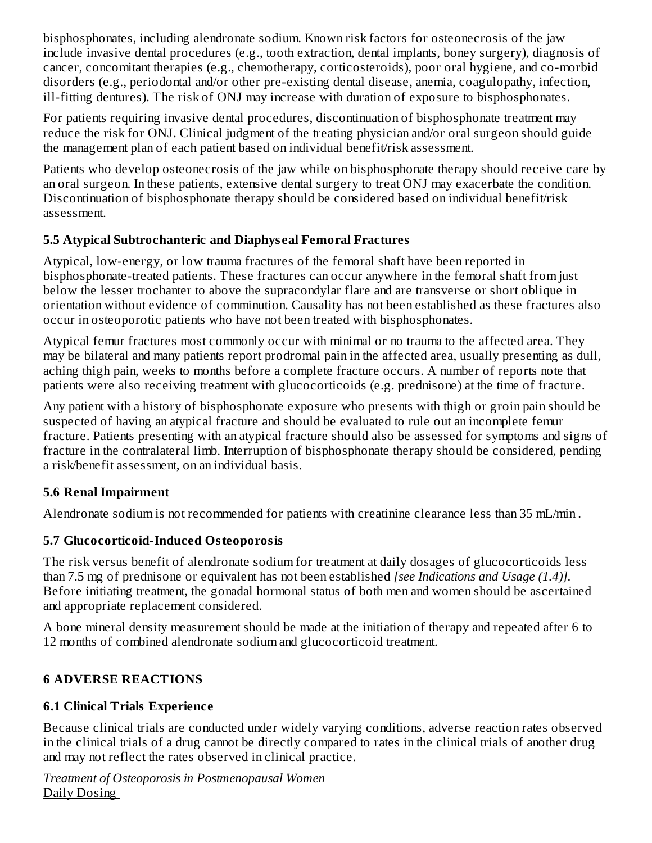bisphosphonates, including alendronate sodium. Known risk factors for osteonecrosis of the jaw include invasive dental procedures (e.g., tooth extraction, dental implants, boney surgery), diagnosis of cancer, concomitant therapies (e.g., chemotherapy, corticosteroids), poor oral hygiene, and co-morbid disorders (e.g., periodontal and/or other pre-existing dental disease, anemia, coagulopathy, infection, ill-fitting dentures). The risk of ONJ may increase with duration of exposure to bisphosphonates.

For patients requiring invasive dental procedures, discontinuation of bisphosphonate treatment may reduce the risk for ONJ. Clinical judgment of the treating physician and/or oral surgeon should guide the management plan of each patient based on individual benefit/risk assessment.

Patients who develop osteonecrosis of the jaw while on bisphosphonate therapy should receive care by an oral surgeon. In these patients, extensive dental surgery to treat ONJ may exacerbate the condition. Discontinuation of bisphosphonate therapy should be considered based on individual benefit/risk assessment.

# **5.5 Atypical Subtrochanteric and Diaphys eal Femoral Fractures**

Atypical, low-energy, or low trauma fractures of the femoral shaft have been reported in bisphosphonate-treated patients. These fractures can occur anywhere in the femoral shaft from just below the lesser trochanter to above the supracondylar flare and are transverse or short oblique in orientation without evidence of comminution. Causality has not been established as these fractures also occur in osteoporotic patients who have not been treated with bisphosphonates.

Atypical femur fractures most commonly occur with minimal or no trauma to the affected area. They may be bilateral and many patients report prodromal pain in the affected area, usually presenting as dull, aching thigh pain, weeks to months before a complete fracture occurs. A number of reports note that patients were also receiving treatment with glucocorticoids (e.g. prednisone) at the time of fracture.

Any patient with a history of bisphosphonate exposure who presents with thigh or groin pain should be suspected of having an atypical fracture and should be evaluated to rule out an incomplete femur fracture. Patients presenting with an atypical fracture should also be assessed for symptoms and signs of fracture in the contralateral limb. Interruption of bisphosphonate therapy should be considered, pending a risk/benefit assessment, on an individual basis.

# **5.6 Renal Impairment**

Alendronate sodium is not recommended for patients with creatinine clearance less than 35 mL/min *.*

# **5.7 Glucocorticoid-Induced Osteoporosis**

The risk versus benefit of alendronate sodium for treatment at daily dosages of glucocorticoids less than 7.5 mg of prednisone or equivalent has not been established *[see Indications and Usage (1.4)].* Before initiating treatment, the gonadal hormonal status of both men and women should be ascertained and appropriate replacement considered.

A bone mineral density measurement should be made at the initiation of therapy and repeated after 6 to 12 months of combined alendronate sodium and glucocorticoid treatment.

# **6 ADVERSE REACTIONS**

# **6.1 Clinical Trials Experience**

Because clinical trials are conducted under widely varying conditions, adverse reaction rates observed in the clinical trials of a drug cannot be directly compared to rates in the clinical trials of another drug and may not reflect the rates observed in clinical practice.

*Treatment of Osteoporosis in Postmenopausal Women* Daily Dosing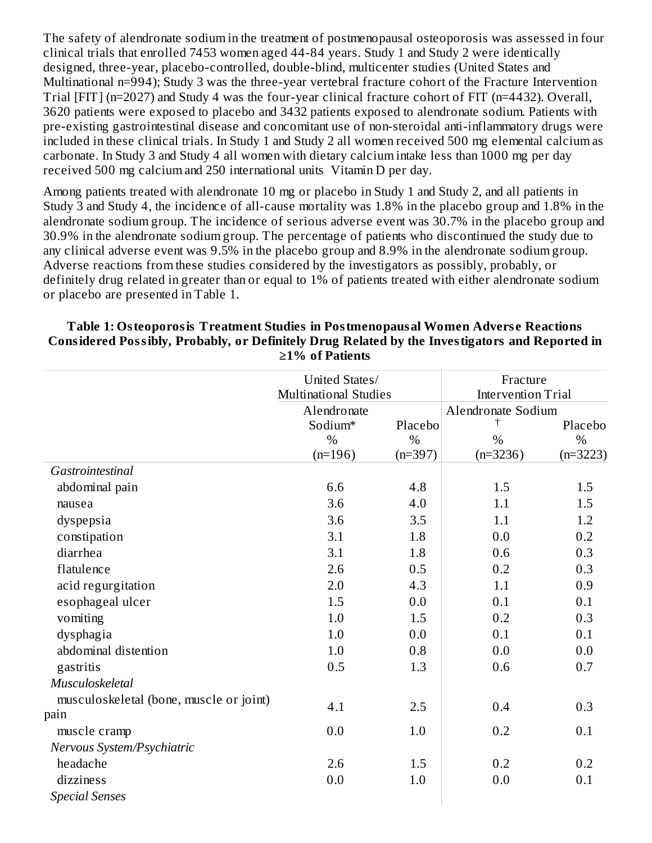The safety of alendronate sodium in the treatment of postmenopausal osteoporosis was assessed in four clinical trials that enrolled 7453 women aged 44-84 years. Study 1 and Study 2 were identically designed, three-year, placebo-controlled, double-blind, multicenter studies (United States and Multinational n=994); Study 3 was the three-year vertebral fracture cohort of the Fracture Intervention Trial [FIT] (n=2027) and Study 4 was the four-year clinical fracture cohort of FIT (n=4432). Overall, 3620 patients were exposed to placebo and 3432 patients exposed to alendronate sodium. Patients with pre-existing gastrointestinal disease and concomitant use of non-steroidal anti-inflammatory drugs were included in these clinical trials. In Study 1 and Study 2 all women received 500 mg elemental calcium as carbonate. In Study 3 and Study 4 all women with dietary calcium intake less than 1000 mg per day received 500 mg calcium and 250 international units Vitamin D per day.

Among patients treated with alendronate 10 mg or placebo in Study 1 and Study 2, and all patients in Study 3 and Study 4, the incidence of all-cause mortality was 1.8% in the placebo group and 1.8% in the alendronate sodium group. The incidence of serious adverse event was 30.7% in the placebo group and 30.9% in the alendronate sodium group. The percentage of patients who discontinued the study due to any clinical adverse event was 9.5% in the placebo group and 8.9% in the alendronate sodium group. Adverse reactions from these studies considered by the investigators as possibly, probably, or definitely drug related in greater than or equal to 1% of patients treated with either alendronate sodium or placebo are presented in Table 1.

|                                         | United States/               |           | Fracture                  |            |
|-----------------------------------------|------------------------------|-----------|---------------------------|------------|
|                                         | <b>Multinational Studies</b> |           | <b>Intervention Trial</b> |            |
|                                         | Alendronate                  |           | Alendronate Sodium        |            |
|                                         | Sodium*                      | Placebo   | ϯ                         | Placebo    |
|                                         | $\%$                         | $\%$      | $\%$                      | $\%$       |
|                                         | $(n=196)$                    | $(n=397)$ | $(n=3236)$                | $(n=3223)$ |
| Gastrointestinal                        |                              |           |                           |            |
| abdominal pain                          | 6.6                          | 4.8       | 1.5                       | 1.5        |
| nausea                                  | 3.6                          | 4.0       | 1.1                       | 1.5        |
| dyspepsia                               | 3.6                          | 3.5       | 1.1                       | 1.2        |
| constipation                            | 3.1                          | 1.8       | 0.0                       | 0.2        |
| diarrhea                                | 3.1                          | 1.8       | 0.6                       | 0.3        |
| flatulence                              | 2.6                          | 0.5       | 0.2                       | 0.3        |
| acid regurgitation                      | 2.0                          | 4.3       | 1.1                       | 0.9        |
| esophageal ulcer                        | 1.5                          | 0.0       | 0.1                       | 0.1        |
| vomiting                                | 1.0                          | 1.5       | 0.2                       | 0.3        |
| dysphagia                               | 1.0                          | 0.0       | 0.1                       | 0.1        |
| abdominal distention                    | 1.0                          | 0.8       | 0.0                       | 0.0        |
| gastritis                               | 0.5                          | 1.3       | 0.6                       | 0.7        |
| Musculoskeletal                         |                              |           |                           |            |
| musculoskeletal (bone, muscle or joint) | 4.1                          | 2.5       | 0.4                       | 0.3        |
| pain                                    |                              |           |                           |            |
| muscle cramp                            | 0.0                          | 1.0       | 0.2                       | 0.1        |
| Nervous System/Psychiatric              |                              |           |                           |            |
| headache                                | 2.6                          | 1.5       | 0.2                       | 0.2        |
| dizziness                               | 0.0                          | 1.0       | 0.0                       | 0.1        |
| <b>Special Senses</b>                   |                              |           |                           |            |
|                                         |                              |           |                           |            |

### **Table 1: Osteoporosis Treatment Studies in Postmenopausal Women Advers e Reactions Considered Possibly, Probably, or Definitely Drug Related by the Investigators and Reported in ≥1% of Patients**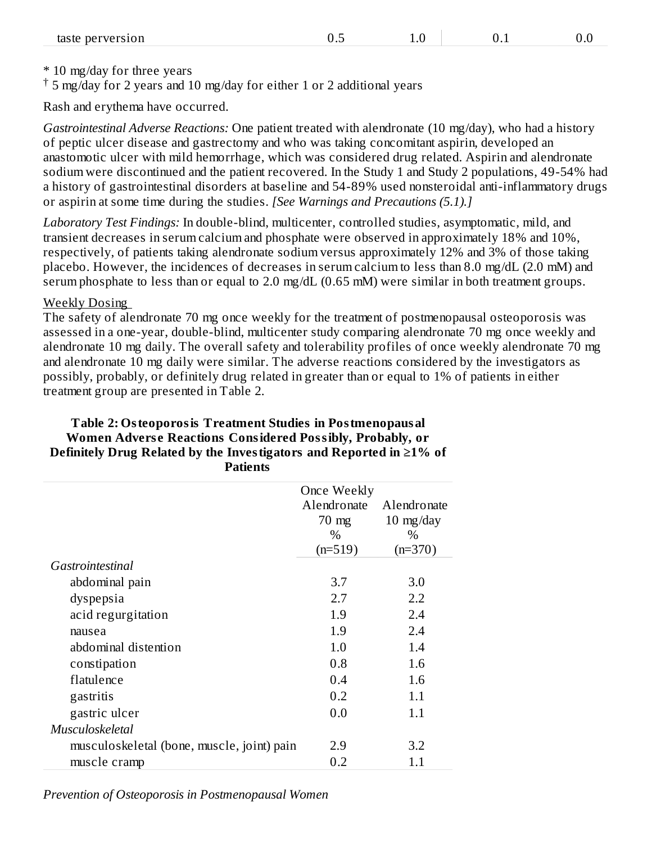- \* 10 mg/day for three years
- 5 mg/day for 2 years and 10 mg/day for either 1 or 2 additional years †

Rash and erythema have occurred.

*Gastrointestinal Adverse Reactions:* One patient treated with alendronate (10 mg/day), who had a history of peptic ulcer disease and gastrectomy and who was taking concomitant aspirin, developed an anastomotic ulcer with mild hemorrhage, which was considered drug related. Aspirin and alendronate sodium were discontinued and the patient recovered. In the Study 1 and Study 2 populations, 49-54% had a history of gastrointestinal disorders at baseline and 54-89% used nonsteroidal anti-inflammatory drugs or aspirin at some time during the studies. *[See Warnings and Precautions (5.1).]*

*Laboratory Test Findings:* In double-blind, multicenter, controlled studies, asymptomatic, mild, and transient decreases in serum calcium and phosphate were observed in approximately 18% and 10%, respectively, of patients taking alendronate sodium versus approximately 12% and 3% of those taking placebo. However, the incidences of decreases in serum calcium to less than 8.0 mg/dL (2.0 mM) and serum phosphate to less than or equal to 2.0 mg/dL (0.65 mM) were similar in both treatment groups.

### Weekly Dosing

The safety of alendronate 70 mg once weekly for the treatment of postmenopausal osteoporosis was assessed in a one-year, double-blind, multicenter study comparing alendronate 70 mg once weekly and alendronate 10 mg daily. The overall safety and tolerability profiles of once weekly alendronate 70 mg and alendronate 10 mg daily were similar. The adverse reactions considered by the investigators as possibly, probably, or definitely drug related in greater than or equal to 1% of patients in either treatment group are presented in Table 2.

| г аиснь                                    |             |                     |
|--------------------------------------------|-------------|---------------------|
|                                            | Once Weekly |                     |
|                                            | Alendronate | Alendronate         |
|                                            | 70 mg       | $10 \text{ mg/day}$ |
|                                            | $\%$        | $\frac{0}{0}$       |
|                                            | $(n=519)$   | $(n=370)$           |
| <b>Gastrointestinal</b>                    |             |                     |
| abdominal pain                             | 3.7         | 3.0                 |
| dyspepsia                                  | 2.7         | 2.2                 |
| acid regurgitation                         | 1.9         | 2.4                 |
| nausea                                     | 1.9         | 2.4                 |
| abdominal distention                       | 1.0         | 1.4                 |
| constipation                               | 0.8         | 1.6                 |
| flatulence                                 | 0.4         | 1.6                 |
| gastritis                                  | 0.2         | 1.1                 |
| gastric ulcer                              | 0.0         | 1.1                 |
| Musculoskeletal                            |             |                     |
| musculoskeletal (bone, muscle, joint) pain | 2.9         | 3.2                 |
| muscle cramp                               | 0.2         | 1.1                 |

### **Table 2: Osteoporosis Treatment Studies in Postmenopausal Women Advers e Reactions Considered Possibly, Probably, or Definitely Drug Related by the Investigators and Reported in ≥1% of Pationts**

*Prevention of Osteoporosis in Postmenopausal Women*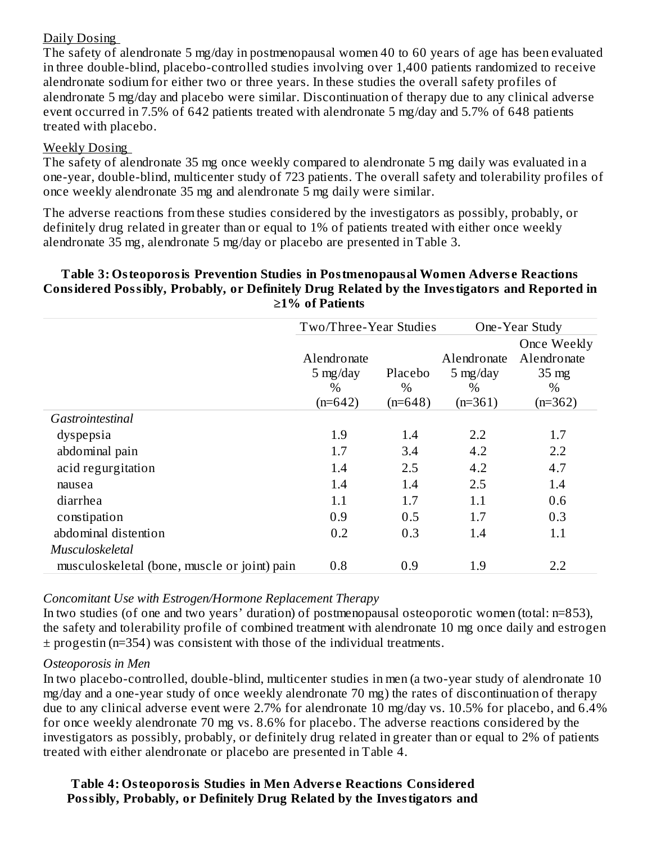# Daily Dosing

The safety of alendronate 5 mg/day in postmenopausal women 40 to 60 years of age has been evaluated in three double-blind, placebo-controlled studies involving over 1,400 patients randomized to receive alendronate sodium for either two or three years. In these studies the overall safety profiles of alendronate 5 mg/day and placebo were similar. Discontinuation of therapy due to any clinical adverse event occurred in 7.5% of 642 patients treated with alendronate 5 mg/day and 5.7% of 648 patients treated with placebo.

### Weekly Dosing

The safety of alendronate 35 mg once weekly compared to alendronate 5 mg daily was evaluated in a one-year, double-blind, multicenter study of 723 patients. The overall safety and tolerability profiles of once weekly alendronate 35 mg and alendronate 5 mg daily were similar.

The adverse reactions from these studies considered by the investigators as possibly, probably, or definitely drug related in greater than or equal to 1% of patients treated with either once weekly alendronate 35 mg, alendronate 5 mg/day or placebo are presented in Table 3.

### **Table 3: Osteoporosis Prevention Studies in Postmenopausal Women Advers e Reactions Considered Possibly, Probably, or Definitely Drug Related by the Investigators and Reported in ≥1% of Patients**

|                                              | Two/Three-Year Studies           |           |               | One-Year Study  |
|----------------------------------------------|----------------------------------|-----------|---------------|-----------------|
|                                              |                                  |           |               | Once Weekly     |
|                                              | Alendronate                      |           | Alendronate   | Alendronate     |
|                                              | $5 \frac{\text{mg}}{\text{day}}$ | Placebo   | $5$ mg/day    | $35 \text{ mg}$ |
|                                              | $\%$                             | $\%$      | $\frac{0}{0}$ | $\%$            |
|                                              | $(n=642)$                        | $(n=648)$ | $(n=361)$     | $(n=362)$       |
| <b>Gastrointestinal</b>                      |                                  |           |               |                 |
| dyspepsia                                    | 1.9                              | 1.4       | 2.2           | 1.7             |
| abdominal pain                               | 1.7                              | 3.4       | 4.2           | 2.2             |
| acid regurgitation                           | 1.4                              | 2.5       | 4.2           | 4.7             |
| nausea                                       | 1.4                              | 1.4       | 2.5           | 1.4             |
| diarrhea                                     | 1.1                              | 1.7       | 1.1           | 0.6             |
| constipation                                 | 0.9                              | 0.5       | 1.7           | 0.3             |
| abdominal distention                         | 0.2                              | 0.3       | 1.4           | 1.1             |
| Musculoskeletal                              |                                  |           |               |                 |
| musculoskeletal (bone, muscle or joint) pain | 0.8                              | 0.9       | 1.9           | 2.2             |

### *Concomitant Use with Estrogen/Hormone Replacement Therapy*

In two studies (of one and two years' duration) of postmenopausal osteoporotic women (total: n=853), the safety and tolerability profile of combined treatment with alendronate 10 mg once daily and estrogen ± progestin (n=354) was consistent with those of the individual treatments.

### *Osteoporosis in Men*

In two placebo-controlled, double-blind, multicenter studies in men (a two-year study of alendronate 10 mg/day and a one-year study of once weekly alendronate 70 mg) the rates of discontinuation of therapy due to any clinical adverse event were 2.7% for alendronate 10 mg/day vs. 10.5% for placebo, and 6.4% for once weekly alendronate 70 mg vs. 8.6% for placebo. The adverse reactions considered by the investigators as possibly, probably, or definitely drug related in greater than or equal to 2% of patients treated with either alendronate or placebo are presented in Table 4.

### **Table 4: Osteoporosis Studies in Men Advers e Reactions Considered Possibly, Probably, or Definitely Drug Related by the Investigators and**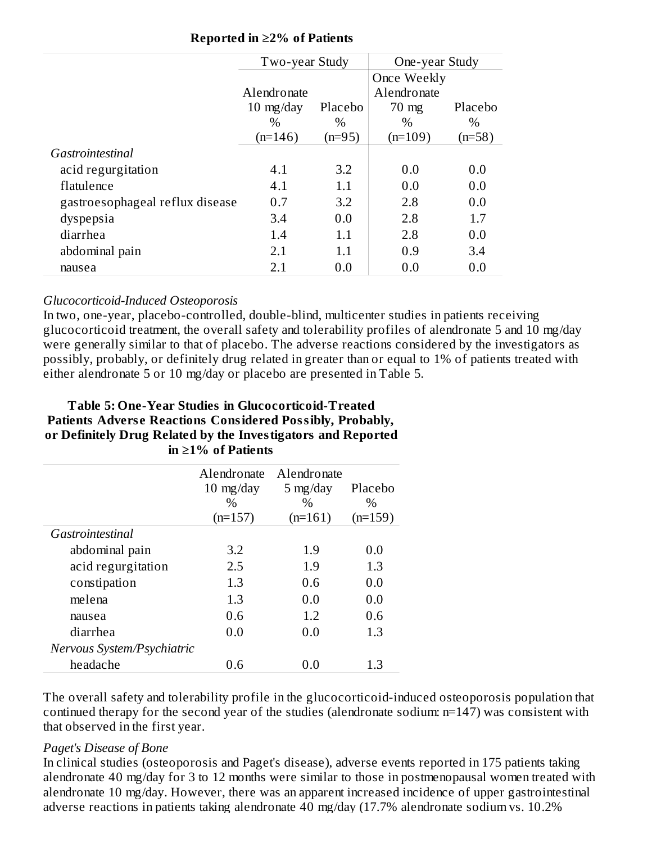|                                 | Two-year Study        |          | One-year Study  |         |
|---------------------------------|-----------------------|----------|-----------------|---------|
|                                 |                       |          | Once Weekly     |         |
|                                 | Alendronate           |          | Alendronate     |         |
|                                 | $10 \; \text{mg/day}$ | Placebo  | $70 \text{ mg}$ | Placebo |
|                                 | $\%$                  | $\%$     | $\%$            | $\%$    |
|                                 | $(n=146)$             | $(n=95)$ | $(n=109)$       | (n=58)  |
| <i>Gastrointestinal</i>         |                       |          |                 |         |
| acid regurgitation              | 4.1                   | 3.2      | 0.0             | 0.0     |
| flatulence                      | 4.1                   | 1.1      | 0.0             | 0.0     |
| gastroesophageal reflux disease | 0.7                   | 3.2      | 2.8             | 0.0     |
| dyspepsia                       | 3.4                   | 0.0      | 2.8             | 1.7     |
| diarrhea                        | 1.4                   | 1.1      | 2.8             | 0.0     |
| abdominal pain                  | 2.1                   | 1.1      | 0.9             | 3.4     |
| nausea                          | 2.1                   | 0.0      | 0.0             | 0.0     |

### **Reported in ≥2% of Patients**

### *Glucocorticoid-Induced Osteoporosis*

In two, one-year, placebo-controlled, double-blind, multicenter studies in patients receiving glucocorticoid treatment, the overall safety and tolerability profiles of alendronate 5 and 10 mg/day were generally similar to that of placebo. The adverse reactions considered by the investigators as possibly, probably, or definitely drug related in greater than or equal to 1% of patients treated with either alendronate 5 or 10 mg/day or placebo are presented in Table 5.

### **Table 5: One-Year Studies in Glucocorticoid-Treated Patients Advers e Reactions Considered Possibly, Probably, or Definitely Drug Related by the Investigators and Reported in ≥1% of Patients**

|                            | Alendronate         | Alendronate |           |
|----------------------------|---------------------|-------------|-----------|
|                            | $10 \text{ mg/day}$ | 5 mg/day    | Placebo   |
|                            | $\%$                | $\%$        | $\%$      |
|                            | $(n=157)$           | $(n=161)$   | $(n=159)$ |
| <i>Gastrointestinal</i>    |                     |             |           |
| abdominal pain             | 3.2                 | 1.9         | 0.0       |
| acid regurgitation         | 2.5                 | 1.9         | 1.3       |
| constipation               | 1.3                 | 0.6         | 0.0       |
| melena                     | 1.3                 | 0.0         | 0.0       |
| nausea                     | 0.6                 | 1.2         | 0.6       |
| diarrhea                   | 0.0                 | 0.0         | 1.3       |
| Nervous System/Psychiatric |                     |             |           |
| headache                   | 0.6                 | (1.0)       | 1.3       |

The overall safety and tolerability profile in the glucocorticoid-induced osteoporosis population that continued therapy for the second year of the studies (alendronate sodium: n=147) was consistent with that observed in the first year.

### *Paget's Disease of Bone*

In clinical studies (osteoporosis and Paget's disease), adverse events reported in 175 patients taking alendronate 40 mg/day for 3 to 12 months were similar to those in postmenopausal women treated with alendronate 10 mg/day. However, there was an apparent increased incidence of upper gastrointestinal adverse reactions in patients taking alendronate 40 mg/day (17.7% alendronate sodium vs. 10.2%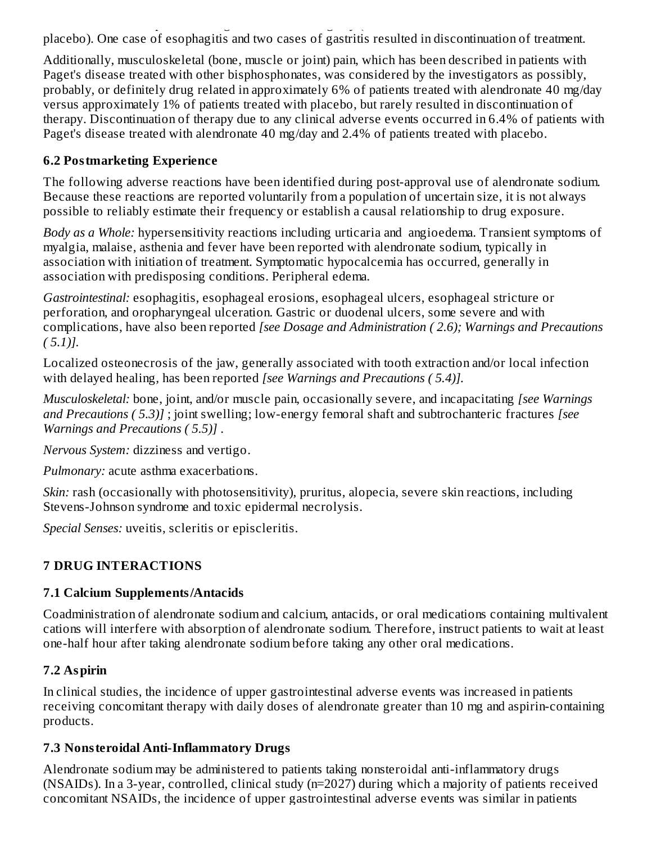adverse reactions in patients taking alendronate 40 mg/day (17.7% alendronate sodium vs. 10.2% placebo). One case of esophagitis and two cases of gastritis resulted in discontinuation of treatment.

Additionally, musculoskeletal (bone, muscle or joint) pain, which has been described in patients with Paget's disease treated with other bisphosphonates, was considered by the investigators as possibly, probably, or definitely drug related in approximately 6% of patients treated with alendronate 40 mg/day versus approximately 1% of patients treated with placebo, but rarely resulted in discontinuation of therapy. Discontinuation of therapy due to any clinical adverse events occurred in 6.4% of patients with Paget's disease treated with alendronate 40 mg/day and 2.4% of patients treated with placebo.

# **6.2 Postmarketing Experience**

The following adverse reactions have been identified during post-approval use of alendronate sodium. Because these reactions are reported voluntarily from a population of uncertain size, it is not always possible to reliably estimate their frequency or establish a causal relationship to drug exposure.

*Body as a Whole:* hypersensitivity reactions including urticaria and angioedema. Transient symptoms of myalgia, malaise, asthenia and fever have been reported with alendronate sodium, typically in association with initiation of treatment. Symptomatic hypocalcemia has occurred, generally in association with predisposing conditions. Peripheral edema.

*Gastrointestinal:* esophagitis, esophageal erosions, esophageal ulcers, esophageal stricture or perforation, and oropharyngeal ulceration. Gastric or duodenal ulcers, some severe and with complications, have also been reported *[see Dosage and Administration ( 2.6); Warnings and Precautions ( 5.1)].*

Localized osteonecrosis of the jaw, generally associated with tooth extraction and/or local infection with delayed healing, has been reported *[see Warnings and Precautions ( 5.4)].*

*Musculoskeletal:* bone, joint, and/or muscle pain, occasionally severe, and incapacitating *[see Warnings and Precautions ( 5.3)]* ; joint swelling; low-energy femoral shaft and subtrochanteric fractures *[see Warnings and Precautions ( 5.5)]* .

*Nervous System:* dizziness and vertigo.

*Pulmonary:* acute asthma exacerbations.

*Skin:* rash (occasionally with photosensitivity), pruritus, alopecia, severe skin reactions, including Stevens-Johnson syndrome and toxic epidermal necrolysis.

*Special Senses:* uveitis, scleritis or episcleritis.

# **7 DRUG INTERACTIONS**

# **7.1 Calcium Supplements/Antacids**

Coadministration of alendronate sodium and calcium, antacids, or oral medications containing multivalent cations will interfere with absorption of alendronate sodium. Therefore, instruct patients to wait at least one-half hour after taking alendronate sodium before taking any other oral medications.

# **7.2 Aspirin**

In clinical studies, the incidence of upper gastrointestinal adverse events was increased in patients receiving concomitant therapy with daily doses of alendronate greater than 10 mg and aspirin-containing products.

# **7.3 Nonsteroidal Anti-Inflammatory Drugs**

Alendronate sodium may be administered to patients taking nonsteroidal anti-inflammatory drugs (NSAIDs). In a 3-year, controlled, clinical study (n=2027) during which a majority of patients received concomitant NSAIDs, the incidence of upper gastrointestinal adverse events was similar in patients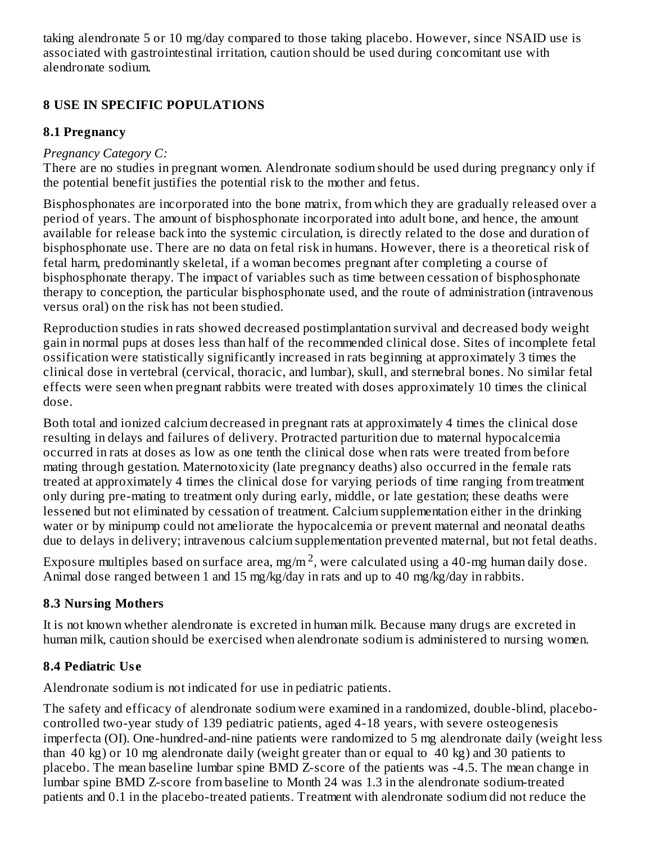taking alendronate 5 or 10 mg/day compared to those taking placebo. However, since NSAID use is associated with gastrointestinal irritation, caution should be used during concomitant use with alendronate sodium.

# **8 USE IN SPECIFIC POPULATIONS**

# **8.1 Pregnancy**

# *Pregnancy Category C:*

There are no studies in pregnant women. Alendronate sodium should be used during pregnancy only if the potential benefit justifies the potential risk to the mother and fetus.

Bisphosphonates are incorporated into the bone matrix, from which they are gradually released over a period of years. The amount of bisphosphonate incorporated into adult bone, and hence, the amount available for release back into the systemic circulation, is directly related to the dose and duration of bisphosphonate use. There are no data on fetal risk in humans. However, there is a theoretical risk of fetal harm, predominantly skeletal, if a woman becomes pregnant after completing a course of bisphosphonate therapy. The impact of variables such as time between cessation of bisphosphonate therapy to conception, the particular bisphosphonate used, and the route of administration (intravenous versus oral) on the risk has not been studied.

Reproduction studies in rats showed decreased postimplantation survival and decreased body weight gain in normal pups at doses less than half of the recommended clinical dose. Sites of incomplete fetal ossification were statistically significantly increased in rats beginning at approximately 3 times the clinical dose in vertebral (cervical, thoracic, and lumbar), skull, and sternebral bones. No similar fetal effects were seen when pregnant rabbits were treated with doses approximately 10 times the clinical dose.

Both total and ionized calcium decreased in pregnant rats at approximately 4 times the clinical dose resulting in delays and failures of delivery. Protracted parturition due to maternal hypocalcemia occurred in rats at doses as low as one tenth the clinical dose when rats were treated from before mating through gestation. Maternotoxicity (late pregnancy deaths) also occurred in the female rats treated at approximately 4 times the clinical dose for varying periods of time ranging from treatment only during pre-mating to treatment only during early, middle, or late gestation; these deaths were lessened but not eliminated by cessation of treatment. Calcium supplementation either in the drinking water or by minipump could not ameliorate the hypocalcemia or prevent maternal and neonatal deaths due to delays in delivery; intravenous calcium supplementation prevented maternal, but not fetal deaths.

Exposure multiples based on surface area, mg/m  $^2$ , were calculated using a 40-mg human daily dose. Animal dose ranged between 1 and 15 mg/kg/day in rats and up to 40 mg/kg/day in rabbits.

# **8.3 Nursing Mothers**

It is not known whether alendronate is excreted in human milk. Because many drugs are excreted in human milk, caution should be exercised when alendronate sodium is administered to nursing women.

# **8.4 Pediatric Us e**

Alendronate sodium is not indicated for use in pediatric patients.

The safety and efficacy of alendronate sodium were examined in a randomized, double-blind, placebocontrolled two-year study of 139 pediatric patients, aged 4-18 years, with severe osteogenesis imperfecta (OI). One-hundred-and-nine patients were randomized to 5 mg alendronate daily (weight less than 40 kg) or 10 mg alendronate daily (weight greater than or equal to 40 kg) and 30 patients to placebo. The mean baseline lumbar spine BMD Z-score of the patients was -4.5. The mean change in lumbar spine BMD Z-score from baseline to Month 24 was 1.3 in the alendronate sodium-treated patients and 0.1 in the placebo-treated patients. Treatment with alendronate sodium did not reduce the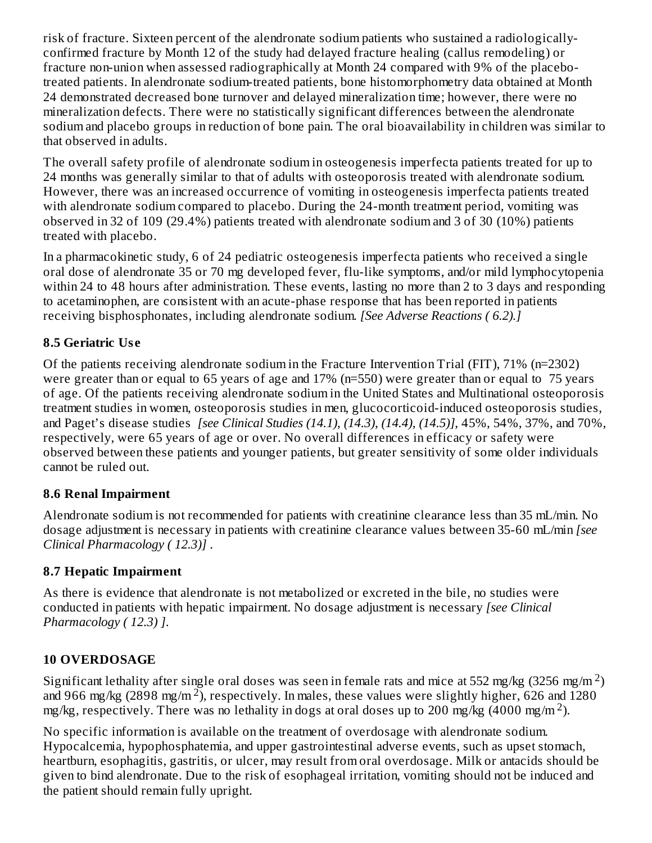risk of fracture. Sixteen percent of the alendronate sodium patients who sustained a radiologicallyconfirmed fracture by Month 12 of the study had delayed fracture healing (callus remodeling) or fracture non-union when assessed radiographically at Month 24 compared with 9% of the placebotreated patients. In alendronate sodium-treated patients, bone histomorphometry data obtained at Month 24 demonstrated decreased bone turnover and delayed mineralization time; however, there were no mineralization defects. There were no statistically significant differences between the alendronate sodium and placebo groups in reduction of bone pain. The oral bioavailability in children was similar to that observed in adults.

The overall safety profile of alendronate sodium in osteogenesis imperfecta patients treated for up to 24 months was generally similar to that of adults with osteoporosis treated with alendronate sodium. However, there was an increased occurrence of vomiting in osteogenesis imperfecta patients treated with alendronate sodium compared to placebo. During the 24-month treatment period, vomiting was observed in 32 of 109 (29.4%) patients treated with alendronate sodium and 3 of 30 (10%) patients treated with placebo.

In a pharmacokinetic study, 6 of 24 pediatric osteogenesis imperfecta patients who received a single oral dose of alendronate 35 or 70 mg developed fever, flu-like symptoms, and/or mild lymphocytopenia within 24 to 48 hours after administration. These events, lasting no more than 2 to 3 days and responding to acetaminophen, are consistent with an acute-phase response that has been reported in patients receiving bisphosphonates, including alendronate sodium. *[See Adverse Reactions ( 6.2).]*

# **8.5 Geriatric Us e**

Of the patients receiving alendronate sodium in the Fracture Intervention Trial (FIT), 71% (n=2302) were greater than or equal to 65 years of age and 17% (n=550) were greater than or equal to 75 years of age. Of the patients receiving alendronate sodium in the United States and Multinational osteoporosis treatment studies in women, osteoporosis studies in men, glucocorticoid-induced osteoporosis studies, and Paget's disease studies *[see Clinical Studies (14.1), (14.3), (14.4), (14.5)]*, 45%, 54%, 37%, and 70%, respectively, were 65 years of age or over. No overall differences in efficacy or safety were observed between these patients and younger patients, but greater sensitivity of some older individuals cannot be ruled out.

# **8.6 Renal Impairment**

Alendronate sodium is not recommended for patients with creatinine clearance less than 35 mL/min. No dosage adjustment is necessary in patients with creatinine clearance values between 35-60 mL/min *[see Clinical Pharmacology ( 12.3)]* .

# **8.7 Hepatic Impairment**

As there is evidence that alendronate is not metabolized or excreted in the bile, no studies were conducted in patients with hepatic impairment. No dosage adjustment is necessary *[see Clinical Pharmacology ( 12.3) ]*.

# **10 OVERDOSAGE**

Significant lethality after single oral doses was seen in female rats and mice at 552 mg/kg (3256 mg/m  $^2$ ) and 966 mg/kg (2898 mg/m<sup>2</sup>), respectively. In males, these values were slightly higher, 626 and 1280 mg/kg, respectively. There was no lethality in dogs at oral doses up to 200 mg/kg (4000 mg/m<sup>2</sup>).

No specific information is available on the treatment of overdosage with alendronate sodium. Hypocalcemia, hypophosphatemia, and upper gastrointestinal adverse events, such as upset stomach, heartburn, esophagitis, gastritis, or ulcer, may result from oral overdosage. Milk or antacids should be given to bind alendronate. Due to the risk of esophageal irritation, vomiting should not be induced and the patient should remain fully upright.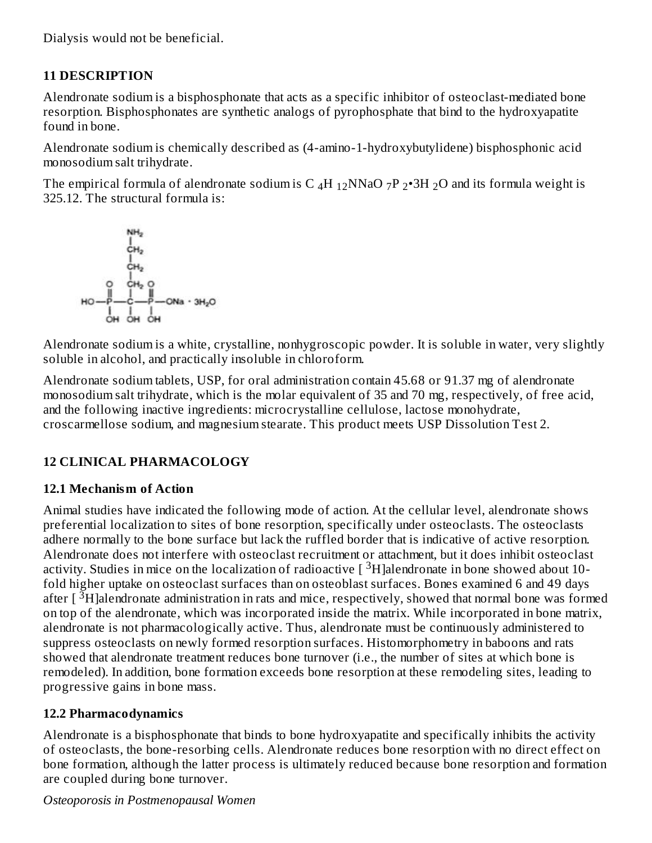Dialysis would not be beneficial.

# **11 DESCRIPTION**

Alendronate sodium is a bisphosphonate that acts as a specific inhibitor of osteoclast-mediated bone resorption. Bisphosphonates are synthetic analogs of pyrophosphate that bind to the hydroxyapatite found in bone.

Alendronate sodium is chemically described as (4-amino-1-hydroxybutylidene) bisphosphonic acid monosodium salt trihydrate.

The empirical formula of alendronate sodium is C  $_4$ H  $_{12}$ NNaO  $_7$ P  $_2$ •3H  $_2$ O and its formula weight is 325.12. The structural formula is:



Alendronate sodium is a white, crystalline, nonhygroscopic powder. It is soluble in water, very slightly soluble in alcohol, and practically insoluble in chloroform.

Alendronate sodium tablets, USP, for oral administration contain 45.68 or 91.37 mg of alendronate monosodium salt trihydrate, which is the molar equivalent of 35 and 70 mg, respectively, of free acid, and the following inactive ingredients: microcrystalline cellulose, lactose monohydrate, croscarmellose sodium, and magnesium stearate. This product meets USP Dissolution Test 2.

# **12 CLINICAL PHARMACOLOGY**

# **12.1 Mechanism of Action**

Animal studies have indicated the following mode of action. At the cellular level, alendronate shows preferential localization to sites of bone resorption, specifically under osteoclasts. The osteoclasts adhere normally to the bone surface but lack the ruffled border that is indicative of active resorption. Alendronate does not interfere with osteoclast recruitment or attachment, but it does inhibit osteoclast activity. Studies in mice on the localization of radioactive [  $^3\mathrm{H}$  ]alendronate in bone showed about 10fold higher uptake on osteoclast surfaces than on osteoblast surfaces. Bones examined 6 and 49 days after  $\lceil \sqrt[3]{H} \rceil$ alendronate administration in rats and mice, respectively, showed that normal bone was formed on top of the alendronate, which was incorporated inside the matrix. While incorporated in bone matrix, alendronate is not pharmacologically active. Thus, alendronate must be continuously administered to suppress osteoclasts on newly formed resorption surfaces. Histomorphometry in baboons and rats showed that alendronate treatment reduces bone turnover (i.e., the number of sites at which bone is remodeled). In addition, bone formation exceeds bone resorption at these remodeling sites, leading to progressive gains in bone mass.

# **12.2 Pharmacodynamics**

Alendronate is a bisphosphonate that binds to bone hydroxyapatite and specifically inhibits the activity of osteoclasts, the bone-resorbing cells. Alendronate reduces bone resorption with no direct effect on bone formation, although the latter process is ultimately reduced because bone resorption and formation are coupled during bone turnover.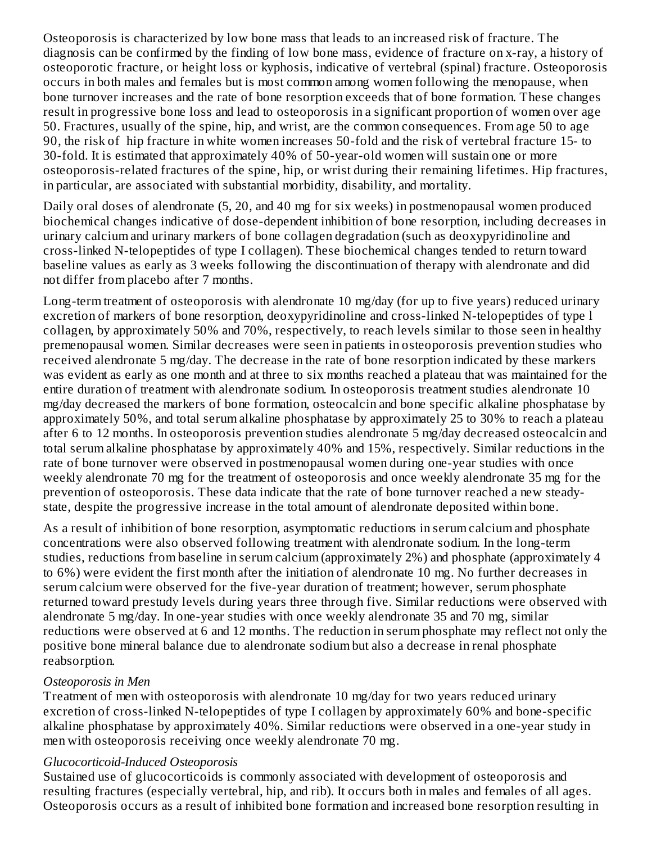Osteoporosis is characterized by low bone mass that leads to an increased risk of fracture. The diagnosis can be confirmed by the finding of low bone mass, evidence of fracture on x-ray, a history of osteoporotic fracture, or height loss or kyphosis, indicative of vertebral (spinal) fracture. Osteoporosis occurs in both males and females but is most common among women following the menopause, when bone turnover increases and the rate of bone resorption exceeds that of bone formation. These changes result in progressive bone loss and lead to osteoporosis in a significant proportion of women over age 50. Fractures, usually of the spine, hip, and wrist, are the common consequences. From age 50 to age 90, the risk of hip fracture in white women increases 50-fold and the risk of vertebral fracture 15- to 30-fold. It is estimated that approximately 40% of 50-year-old women will sustain one or more osteoporosis-related fractures of the spine, hip, or wrist during their remaining lifetimes. Hip fractures, in particular, are associated with substantial morbidity, disability, and mortality.

Daily oral doses of alendronate (5, 20, and 40 mg for six weeks) in postmenopausal women produced biochemical changes indicative of dose-dependent inhibition of bone resorption, including decreases in urinary calcium and urinary markers of bone collagen degradation (such as deoxypyridinoline and cross-linked N-telopeptides of type I collagen). These biochemical changes tended to return toward baseline values as early as 3 weeks following the discontinuation of therapy with alendronate and did not differ from placebo after 7 months.

Long-term treatment of osteoporosis with alendronate 10 mg/day (for up to five years) reduced urinary excretion of markers of bone resorption, deoxypyridinoline and cross-linked N-telopeptides of type l collagen, by approximately 50% and 70%, respectively, to reach levels similar to those seen in healthy premenopausal women. Similar decreases were seen in patients in osteoporosis prevention studies who received alendronate 5 mg/day. The decrease in the rate of bone resorption indicated by these markers was evident as early as one month and at three to six months reached a plateau that was maintained for the entire duration of treatment with alendronate sodium. In osteoporosis treatment studies alendronate 10 mg/day decreased the markers of bone formation, osteocalcin and bone specific alkaline phosphatase by approximately 50%, and total serum alkaline phosphatase by approximately 25 to 30% to reach a plateau after 6 to 12 months. In osteoporosis prevention studies alendronate 5 mg/day decreased osteocalcin and total serum alkaline phosphatase by approximately 40% and 15%, respectively. Similar reductions in the rate of bone turnover were observed in postmenopausal women during one-year studies with once weekly alendronate 70 mg for the treatment of osteoporosis and once weekly alendronate 35 mg for the prevention of osteoporosis. These data indicate that the rate of bone turnover reached a new steadystate, despite the progressive increase in the total amount of alendronate deposited within bone.

As a result of inhibition of bone resorption, asymptomatic reductions in serum calcium and phosphate concentrations were also observed following treatment with alendronate sodium. In the long-term studies, reductions from baseline in serum calcium (approximately 2%) and phosphate (approximately 4 to 6%) were evident the first month after the initiation of alendronate 10 mg. No further decreases in serum calcium were observed for the five-year duration of treatment; however, serum phosphate returned toward prestudy levels during years three through five. Similar reductions were observed with alendronate 5 mg/day. In one-year studies with once weekly alendronate 35 and 70 mg, similar reductions were observed at 6 and 12 months. The reduction in serum phosphate may reflect not only the positive bone mineral balance due to alendronate sodium but also a decrease in renal phosphate reabsorption.

### *Osteoporosis in Men*

Treatment of men with osteoporosis with alendronate 10 mg/day for two years reduced urinary excretion of cross-linked N-telopeptides of type I collagen by approximately 60% and bone-specific alkaline phosphatase by approximately 40%. Similar reductions were observed in a one-year study in men with osteoporosis receiving once weekly alendronate 70 mg.

### *Glucocorticoid-Induced Osteoporosis*

Sustained use of glucocorticoids is commonly associated with development of osteoporosis and resulting fractures (especially vertebral, hip, and rib). It occurs both in males and females of all ages. Osteoporosis occurs as a result of inhibited bone formation and increased bone resorption resulting in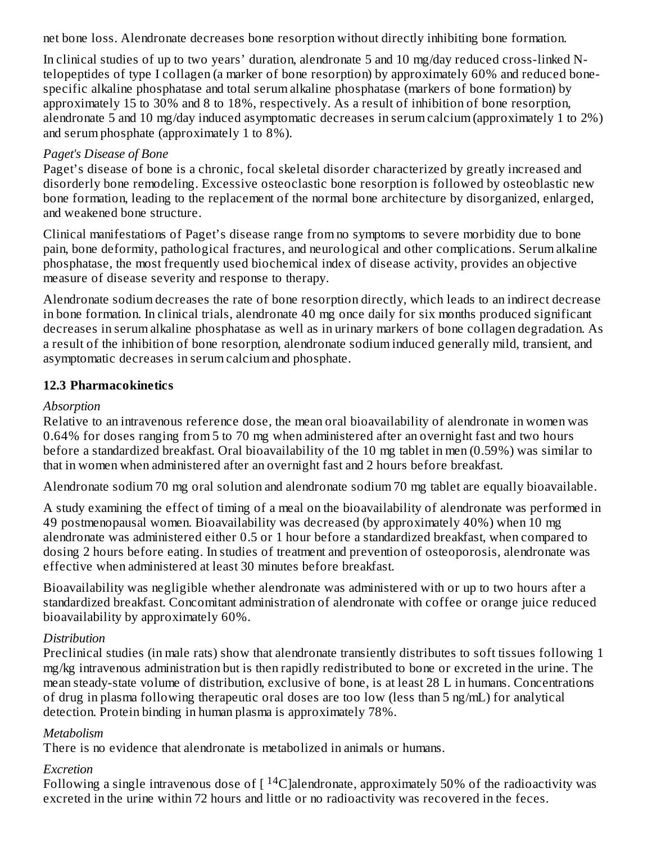net bone loss. Alendronate decreases bone resorption without directly inhibiting bone formation.

In clinical studies of up to two years' duration, alendronate 5 and 10 mg/day reduced cross-linked Ntelopeptides of type I collagen (a marker of bone resorption) by approximately 60% and reduced bonespecific alkaline phosphatase and total serum alkaline phosphatase (markers of bone formation) by approximately 15 to 30% and 8 to 18%, respectively. As a result of inhibition of bone resorption, alendronate 5 and 10 mg/day induced asymptomatic decreases in serum calcium (approximately 1 to 2%) and serum phosphate (approximately 1 to 8%).

# *Paget's Disease of Bone*

Paget's disease of bone is a chronic, focal skeletal disorder characterized by greatly increased and disorderly bone remodeling. Excessive osteoclastic bone resorption is followed by osteoblastic new bone formation, leading to the replacement of the normal bone architecture by disorganized, enlarged, and weakened bone structure.

Clinical manifestations of Paget's disease range from no symptoms to severe morbidity due to bone pain, bone deformity, pathological fractures, and neurological and other complications. Serum alkaline phosphatase, the most frequently used biochemical index of disease activity, provides an objective measure of disease severity and response to therapy.

Alendronate sodium decreases the rate of bone resorption directly, which leads to an indirect decrease in bone formation. In clinical trials, alendronate 40 mg once daily for six months produced significant decreases in serum alkaline phosphatase as well as in urinary markers of bone collagen degradation. As a result of the inhibition of bone resorption, alendronate sodium induced generally mild, transient, and asymptomatic decreases in serum calcium and phosphate.

# **12.3 Pharmacokinetics**

### *Absorption*

Relative to an intravenous reference dose, the mean oral bioavailability of alendronate in women was 0.64% for doses ranging from 5 to 70 mg when administered after an overnight fast and two hours before a standardized breakfast. Oral bioavailability of the 10 mg tablet in men (0.59%) was similar to that in women when administered after an overnight fast and 2 hours before breakfast.

Alendronate sodium 70 mg oral solution and alendronate sodium 70 mg tablet are equally bioavailable.

A study examining the effect of timing of a meal on the bioavailability of alendronate was performed in 49 postmenopausal women. Bioavailability was decreased (by approximately 40%) when 10 mg alendronate was administered either 0.5 or 1 hour before a standardized breakfast, when compared to dosing 2 hours before eating. In studies of treatment and prevention of osteoporosis, alendronate was effective when administered at least 30 minutes before breakfast.

Bioavailability was negligible whether alendronate was administered with or up to two hours after a standardized breakfast. Concomitant administration of alendronate with coffee or orange juice reduced bioavailability by approximately 60%.

# *Distribution*

Preclinical studies (in male rats) show that alendronate transiently distributes to soft tissues following 1 mg/kg intravenous administration but is then rapidly redistributed to bone or excreted in the urine. The mean steady-state volume of distribution, exclusive of bone, is at least 28 L in humans. Concentrations of drug in plasma following therapeutic oral doses are too low (less than 5 ng/mL) for analytical detection. Protein binding in human plasma is approximately 78%.

# *Metabolism*

There is no evidence that alendronate is metabolized in animals or humans.

# *Excretion*

Following a single intravenous dose of [  $\rm ^{14}C$  ]alendronate, approximately 50% of the radioactivity was excreted in the urine within 72 hours and little or no radioactivity was recovered in the feces.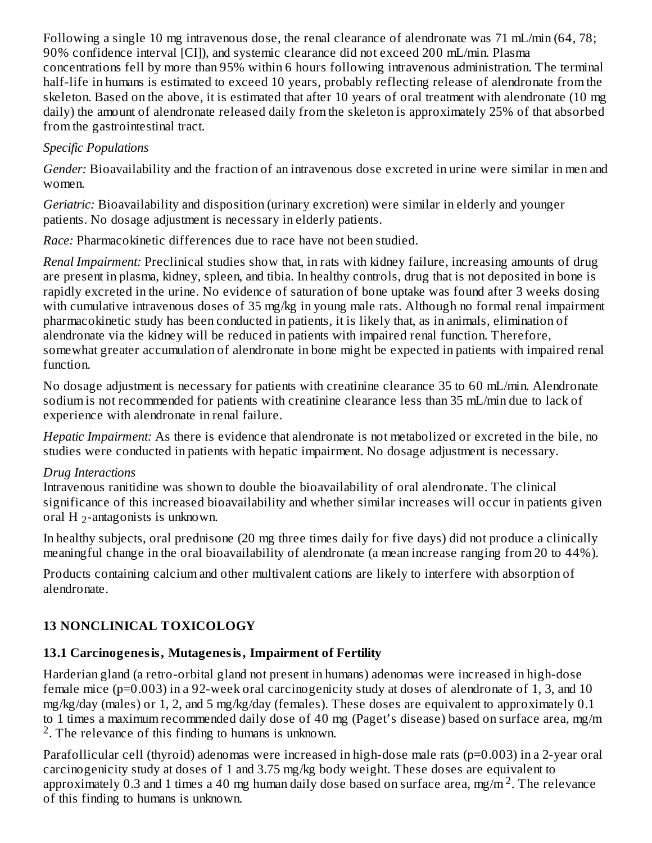Following a single 10 mg intravenous dose, the renal clearance of alendronate was 71 mL/min (64, 78; 90% confidence interval [CI]), and systemic clearance did not exceed 200 mL/min. Plasma concentrations fell by more than 95% within 6 hours following intravenous administration. The terminal half-life in humans is estimated to exceed 10 years, probably reflecting release of alendronate from the skeleton. Based on the above, it is estimated that after 10 years of oral treatment with alendronate (10 mg daily) the amount of alendronate released daily from the skeleton is approximately 25% of that absorbed from the gastrointestinal tract.

# *Specific Populations*

*Gender:* Bioavailability and the fraction of an intravenous dose excreted in urine were similar in men and women.

*Geriatric:* Bioavailability and disposition (urinary excretion) were similar in elderly and younger patients. No dosage adjustment is necessary in elderly patients.

*Race:* Pharmacokinetic differences due to race have not been studied.

*Renal Impairment:* Preclinical studies show that, in rats with kidney failure, increasing amounts of drug are present in plasma, kidney, spleen, and tibia. In healthy controls, drug that is not deposited in bone is rapidly excreted in the urine. No evidence of saturation of bone uptake was found after 3 weeks dosing with cumulative intravenous doses of 35 mg/kg in young male rats. Although no formal renal impairment pharmacokinetic study has been conducted in patients, it is likely that, as in animals, elimination of alendronate via the kidney will be reduced in patients with impaired renal function. Therefore, somewhat greater accumulation of alendronate in bone might be expected in patients with impaired renal function.

No dosage adjustment is necessary for patients with creatinine clearance 35 to 60 mL/min. Alendronate sodium is not recommended for patients with creatinine clearance less than 35 mL/min due to lack of experience with alendronate in renal failure.

*Hepatic Impairment:* As there is evidence that alendronate is not metabolized or excreted in the bile, no studies were conducted in patients with hepatic impairment. No dosage adjustment is necessary.

*Drug Interactions*

Intravenous ranitidine was shown to double the bioavailability of oral alendronate. The clinical significance of this increased bioavailability and whether similar increases will occur in patients given oral H 2-antagonists is unknown.

In healthy subjects, oral prednisone (20 mg three times daily for five days) did not produce a clinically meaningful change in the oral bioavailability of alendronate (a mean increase ranging from 20 to 44%).

Products containing calcium and other multivalent cations are likely to interfere with absorption of alendronate.

# **13 NONCLINICAL TOXICOLOGY**

# **13.1 Carcinogenesis, Mutagenesis, Impairment of Fertility**

Harderian gland (a retro-orbital gland not present in humans) adenomas were increased in high-dose female mice (p=0.003) in a 92-week oral carcinogenicity study at doses of alendronate of 1, 3, and 10 mg/kg/day (males) or 1, 2, and 5 mg/kg/day (females). These doses are equivalent to approximately 0.1 to 1 times a maximum recommended daily dose of 40 mg (Paget's disease) based on surface area, mg/m  $2$ . The relevance of this finding to humans is unknown.

Parafollicular cell (thyroid) adenomas were increased in high-dose male rats (p=0.003) in a 2-year oral carcinogenicity study at doses of 1 and 3.75 mg/kg body weight. These doses are equivalent to approximately 0.3 and 1 times a 40 mg human daily dose based on surface area, mg/m<sup>2</sup>. The relevance of this finding to humans is unknown.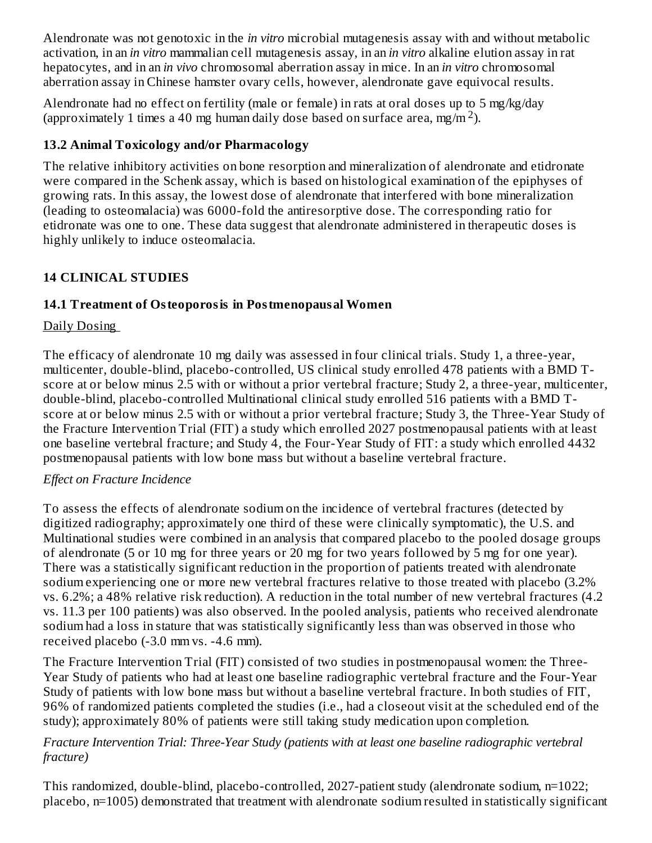Alendronate was not genotoxic in the *in vitro* microbial mutagenesis assay with and without metabolic activation, in an *in vitro* mammalian cell mutagenesis assay, in an *in vitro* alkaline elution assay in rat hepatocytes, and in an *in vivo* chromosomal aberration assay in mice. In an *in vitro* chromosomal aberration assay in Chinese hamster ovary cells, however, alendronate gave equivocal results.

Alendronate had no effect on fertility (male or female) in rats at oral doses up to 5 mg/kg/day (approximately 1 times a 40 mg human daily dose based on surface area, mg/m<sup>2</sup>).

# **13.2 Animal Toxicology and/or Pharmacology**

The relative inhibitory activities on bone resorption and mineralization of alendronate and etidronate were compared in the Schenk assay, which is based on histological examination of the epiphyses of growing rats. In this assay, the lowest dose of alendronate that interfered with bone mineralization (leading to osteomalacia) was 6000-fold the antiresorptive dose. The corresponding ratio for etidronate was one to one. These data suggest that alendronate administered in therapeutic doses is highly unlikely to induce osteomalacia.

# **14 CLINICAL STUDIES**

# **14.1 Treatment of Osteoporosis in Postmenopausal Women**

Daily Dosing

The efficacy of alendronate 10 mg daily was assessed in four clinical trials. Study 1, a three-year, multicenter, double-blind, placebo-controlled, US clinical study enrolled 478 patients with a BMD Tscore at or below minus 2.5 with or without a prior vertebral fracture; Study 2, a three-year, multicenter, double-blind, placebo-controlled Multinational clinical study enrolled 516 patients with a BMD Tscore at or below minus 2.5 with or without a prior vertebral fracture; Study 3, the Three-Year Study of the Fracture Intervention Trial (FIT) a study which enrolled 2027 postmenopausal patients with at least one baseline vertebral fracture; and Study 4, the Four-Year Study of FIT: a study which enrolled 4432 postmenopausal patients with low bone mass but without a baseline vertebral fracture.

# *Effect on Fracture Incidence*

To assess the effects of alendronate sodium on the incidence of vertebral fractures (detected by digitized radiography; approximately one third of these were clinically symptomatic), the U.S. and Multinational studies were combined in an analysis that compared placebo to the pooled dosage groups of alendronate (5 or 10 mg for three years or 20 mg for two years followed by 5 mg for one year). There was a statistically significant reduction in the proportion of patients treated with alendronate sodium experiencing one or more new vertebral fractures relative to those treated with placebo (3.2% vs. 6.2%; a 48% relative risk reduction). A reduction in the total number of new vertebral fractures (4.2 vs. 11.3 per 100 patients) was also observed. In the pooled analysis, patients who received alendronate sodium had a loss in stature that was statistically significantly less than was observed in those who received placebo (-3.0 mm vs. -4.6 mm).

The Fracture Intervention Trial (FIT) consisted of two studies in postmenopausal women: the Three-Year Study of patients who had at least one baseline radiographic vertebral fracture and the Four-Year Study of patients with low bone mass but without a baseline vertebral fracture. In both studies of FIT, 96% of randomized patients completed the studies (i.e., had a closeout visit at the scheduled end of the study); approximately 80% of patients were still taking study medication upon completion.

# *Fracture Intervention Trial: Three-Year Study (patients with at least one baseline radiographic vertebral fracture)*

This randomized, double-blind, placebo-controlled, 2027-patient study (alendronate sodium, n=1022; placebo, n=1005) demonstrated that treatment with alendronate sodium resulted in statistically significant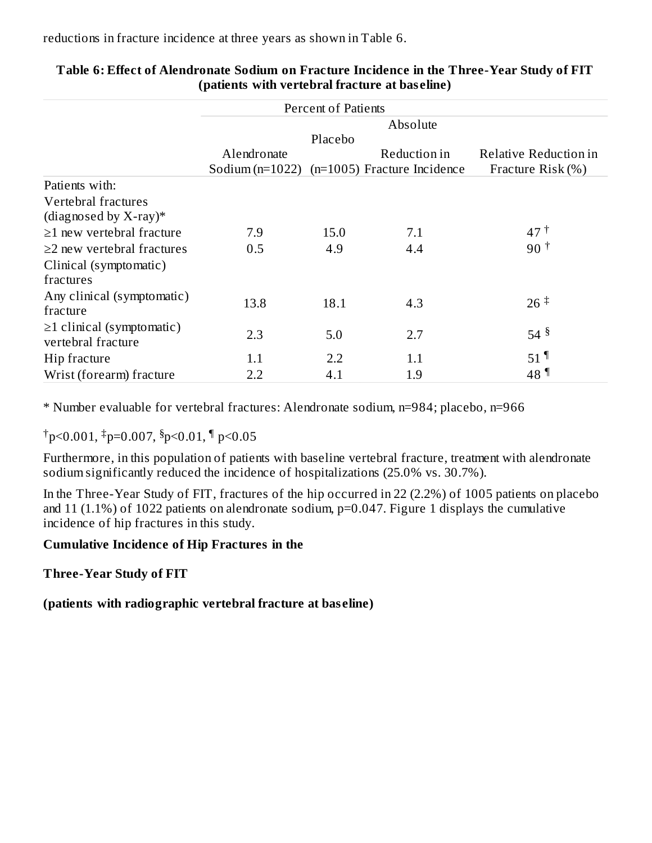reductions in fracture incidence at three years as shown in Table 6.

|                                                       |                   | <b>Percent of Patients</b> |                             |                       |
|-------------------------------------------------------|-------------------|----------------------------|-----------------------------|-----------------------|
|                                                       |                   |                            | Absolute                    |                       |
|                                                       |                   | Placebo                    |                             |                       |
|                                                       | Alendronate       |                            | Reduction in                | Relative Reduction in |
|                                                       | Sodium $(n=1022)$ |                            | (n=1005) Fracture Incidence | Fracture Risk (%)     |
| Patients with:                                        |                   |                            |                             |                       |
| Vertebral fractures                                   |                   |                            |                             |                       |
| (diagnosed by $X$ -ray)*                              |                   |                            |                             |                       |
| $\geq$ 1 new vertebral fracture                       | 7.9               | 15.0                       | 7.1                         | $47^{\text{+}}$       |
| $\geq$ new vertebral fractures                        | 0.5               | 4.9                        | 4.4                         | 90 <sup>†</sup>       |
| Clinical (symptomatic)<br>fractures                   |                   |                            |                             |                       |
| Any clinical (symptomatic)<br>fracture                | 13.8              | 18.1                       | 4.3                         | $26 \pm$              |
| $\geq$ 1 clinical (symptomatic)<br>vertebral fracture | 2.3               | 5.0                        | 2.7                         | $54^{\frac{6}{3}}$    |
| Hip fracture                                          | 1.1               | 2.2                        | 1.1                         | $51$ 1                |
| Wrist (forearm) fracture                              | 2.2               | 4.1                        | 1.9                         | 48 <sup>1</sup>       |

### **Table 6: Effect of Alendronate Sodium on Fracture Incidence in the Three-Year Study of FIT (patients with vertebral fracture at bas eline)**

\* Number evaluable for vertebral fractures: Alendronate sodium, n=984; placebo, n=966

 $\text{p}$  < 0.001,  $\text{p}$  = 0.007,  $\text{p}$  < 0.01,  $\text{p}$  p < 0.05

Furthermore, in this population of patients with baseline vertebral fracture, treatment with alendronate sodium significantly reduced the incidence of hospitalizations (25.0% vs. 30.7%).

In the Three-Year Study of FIT, fractures of the hip occurred in 22 (2.2%) of 1005 patients on placebo and 11 (1.1%) of 1022 patients on alendronate sodium, p=0.047. Figure 1 displays the cumulative incidence of hip fractures in this study.

# **Cumulative Incidence of Hip Fractures in the**

# **Three-Year Study of FIT**

**(patients with radiographic vertebral fracture at bas eline)**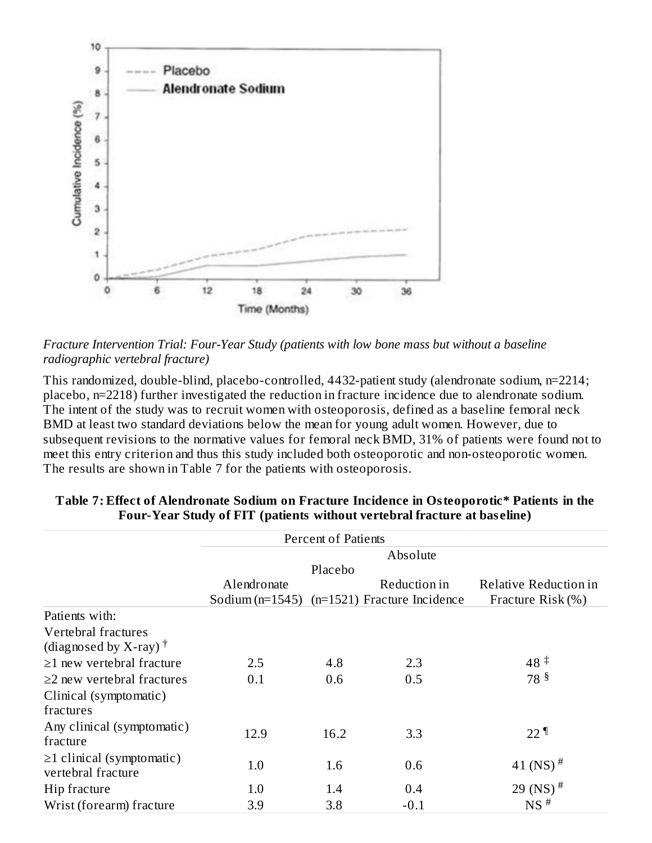

*Fracture Intervention Trial: Four-Year Study (patients with low bone mass but without a baseline radiographic vertebral fracture)*

This randomized, double-blind, placebo-controlled, 4432-patient study (alendronate sodium, n=2214; placebo, n=2218) further investigated the reduction in fracture incidence due to alendronate sodium. The intent of the study was to recruit women with osteoporosis, defined as a baseline femoral neck BMD at least two standard deviations below the mean for young adult women. However, due to subsequent revisions to the normative values for femoral neck BMD, 31% of patients were found not to meet this entry criterion and thus this study included both osteoporotic and non-osteoporotic women. The results are shown in Table 7 for the patients with osteoporosis.

|                                   |             | <b>Percent of Patients</b> |                                             |                              |
|-----------------------------------|-------------|----------------------------|---------------------------------------------|------------------------------|
|                                   |             |                            | Absolute                                    |                              |
|                                   |             | Placebo                    |                                             |                              |
|                                   | Alendronate |                            | Reduction in                                | <b>Relative Reduction in</b> |
|                                   |             |                            | Sodium (n=1545) (n=1521) Fracture Incidence | Fracture Risk (%)            |
| Patients with:                    |             |                            |                                             |                              |
| Vertebral fractures               |             |                            |                                             |                              |
| (diagnosed by X-ray) <sup>†</sup> |             |                            |                                             |                              |
| $\geq$ 1 new vertebral fracture   | 2.5         | 4.8                        | 2.3                                         | $48^{\frac{+}{+}}$           |
| $\geq$ 2 new vertebral fractures  | 0.1         | 0.6                        | 0.5                                         | 78 §                         |
| Clinical (symptomatic)            |             |                            |                                             |                              |
| fractures                         |             |                            |                                             |                              |
| Any clinical (symptomatic)        | 12.9        | 16.2                       | 3.3                                         | 22 <sup>1</sup>              |
| fracture                          |             |                            |                                             |                              |
| $\geq$ 1 clinical (symptomatic)   | 1.0         | 1.6                        | 0.6                                         | 41 (NS) <sup>#</sup>         |
| vertebral fracture                |             |                            |                                             |                              |
| Hip fracture                      | 1.0         | 1.4                        | 0.4                                         | 29 (NS) $^{\#}$              |
| Wrist (forearm) fracture          | 3.9         | 3.8                        | $-0.1$                                      | $NS$ <sup>#</sup>            |

| Table 7: Effect of Alendronate Sodium on Fracture Incidence in Osteoporotic* Patients in the |  |
|----------------------------------------------------------------------------------------------|--|
| Four-Year Study of FIT (patients without vertebral fracture at baseline)                     |  |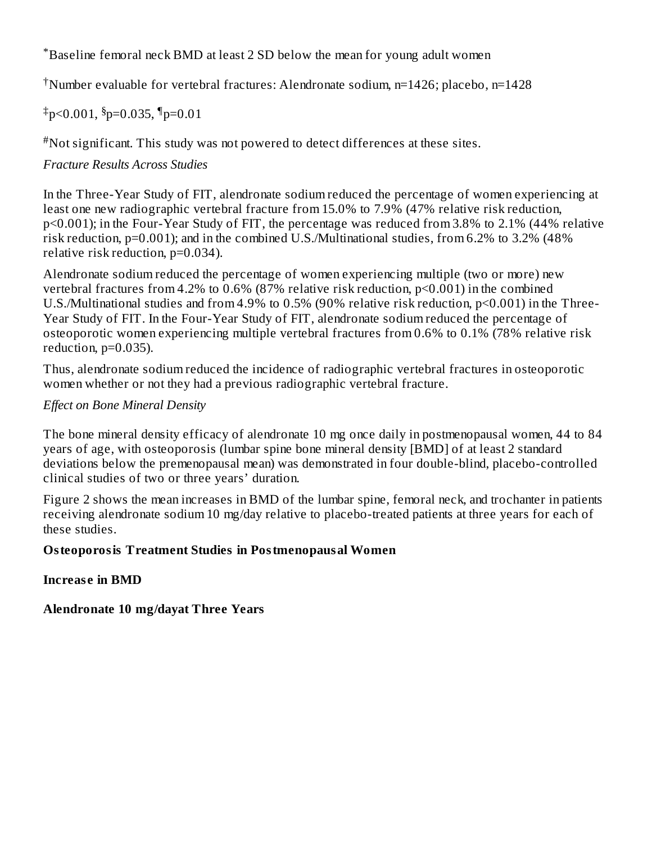Baseline femoral neck BMD at least 2 SD below the mean for young adult women \*

Number evaluable for vertebral fractures: Alendronate sodium, n=1426; placebo, n=1428 †

 $\text{*p<}0.001, \text{ }^8\text{p=0.035}, \text{ }^{\text{ }6}\text{p=0.01}$ 

 $^{\#}$ Not significant. This study was not powered to detect differences at these sites.

*Fracture Results Across Studies*

In the Three-Year Study of FIT, alendronate sodium reduced the percentage of women experiencing at least one new radiographic vertebral fracture from 15.0% to 7.9% (47% relative risk reduction, p<0.001); in the Four-Year Study of FIT, the percentage was reduced from 3.8% to 2.1% (44% relative risk reduction, p=0.001); and in the combined U.S./Multinational studies, from 6.2% to 3.2% (48% relative risk reduction, p=0.034).

Alendronate sodium reduced the percentage of women experiencing multiple (two or more) new vertebral fractures from 4.2% to 0.6% (87% relative risk reduction, p<0.001) in the combined U.S./Multinational studies and from 4.9% to 0.5% (90% relative risk reduction, p<0.001) in the Three-Year Study of FIT. In the Four-Year Study of FIT, alendronate sodium reduced the percentage of osteoporotic women experiencing multiple vertebral fractures from 0.6% to 0.1% (78% relative risk reduction, p=0.035).

Thus, alendronate sodium reduced the incidence of radiographic vertebral fractures in osteoporotic women whether or not they had a previous radiographic vertebral fracture.

# *Effect on Bone Mineral Density*

The bone mineral density efficacy of alendronate 10 mg once daily in postmenopausal women, 44 to 84 years of age, with osteoporosis (lumbar spine bone mineral density [BMD] of at least 2 standard deviations below the premenopausal mean) was demonstrated in four double-blind, placebo-controlled clinical studies of two or three years' duration.

Figure 2 shows the mean increases in BMD of the lumbar spine, femoral neck, and trochanter in patients receiving alendronate sodium 10 mg/day relative to placebo-treated patients at three years for each of these studies.

# **Osteoporosis Treatment Studies in Postmenopausal Women**

**Increas e in BMD**

# **Alendronate 10 mg/dayat Three Years**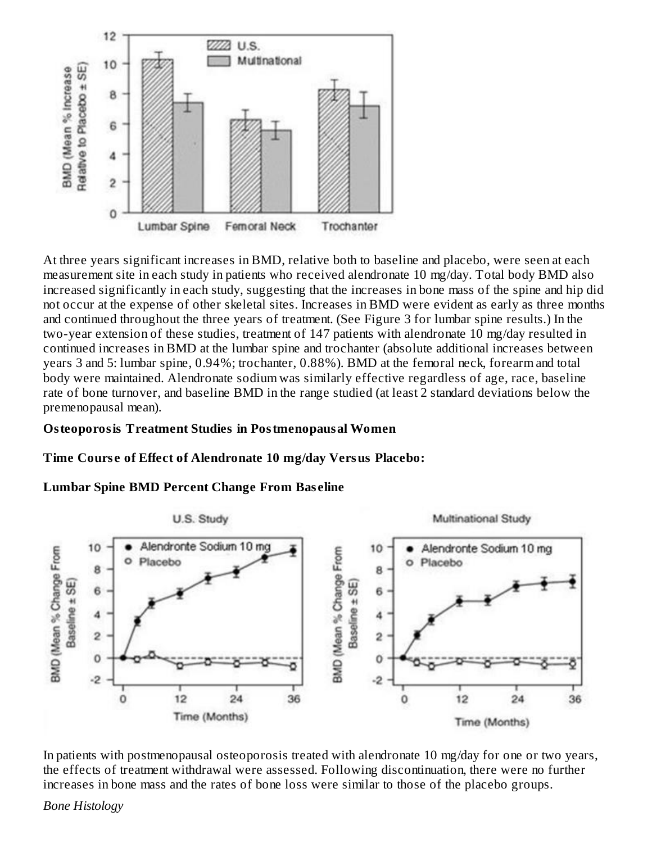

At three years significant increases in BMD, relative both to baseline and placebo, were seen at each measurement site in each study in patients who received alendronate 10 mg/day. Total body BMD also increased significantly in each study, suggesting that the increases in bone mass of the spine and hip did not occur at the expense of other skeletal sites. Increases in BMD were evident as early as three months and continued throughout the three years of treatment. (See Figure 3 for lumbar spine results.) In the two-year extension of these studies, treatment of 147 patients with alendronate 10 mg/day resulted in continued increases in BMD at the lumbar spine and trochanter (absolute additional increases between years 3 and 5: lumbar spine, 0.94%; trochanter, 0.88%). BMD at the femoral neck, forearm and total body were maintained. Alendronate sodium was similarly effective regardless of age, race, baseline rate of bone turnover, and baseline BMD in the range studied (at least 2 standard deviations below the premenopausal mean).

### **Osteoporosis Treatment Studies in Postmenopausal Women**

### **Time Cours e of Effect of Alendronate 10 mg/day Versus Placebo:**

### **Lumbar Spine BMD Percent Change From Bas eline**



In patients with postmenopausal osteoporosis treated with alendronate 10 mg/day for one or two years, the effects of treatment withdrawal were assessed. Following discontinuation, there were no further increases in bone mass and the rates of bone loss were similar to those of the placebo groups.

*Bone Histology*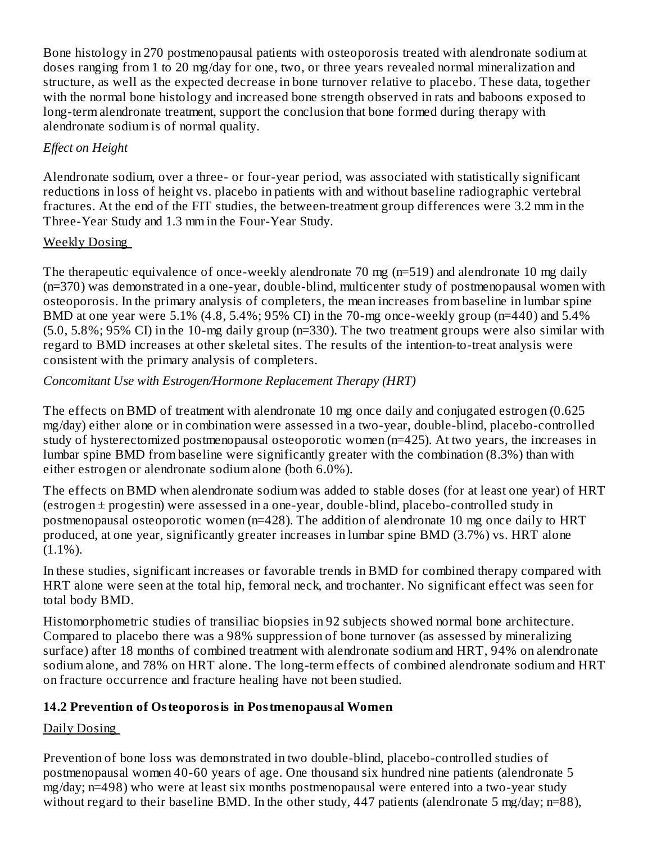Bone histology in 270 postmenopausal patients with osteoporosis treated with alendronate sodium at doses ranging from 1 to 20 mg/day for one, two, or three years revealed normal mineralization and structure, as well as the expected decrease in bone turnover relative to placebo. These data, together with the normal bone histology and increased bone strength observed in rats and baboons exposed to long-term alendronate treatment, support the conclusion that bone formed during therapy with alendronate sodium is of normal quality.

# *Effect on Height*

Alendronate sodium, over a three- or four-year period, was associated with statistically significant reductions in loss of height vs. placebo in patients with and without baseline radiographic vertebral fractures. At the end of the FIT studies, the between-treatment group differences were 3.2 mm in the Three-Year Study and 1.3 mm in the Four-Year Study.

# Weekly Dosing

The therapeutic equivalence of once-weekly alendronate 70 mg (n=519) and alendronate 10 mg daily (n=370) was demonstrated in a one-year, double-blind, multicenter study of postmenopausal women with osteoporosis. In the primary analysis of completers, the mean increases from baseline in lumbar spine BMD at one year were 5.1% (4.8, 5.4%; 95% CI) in the 70-mg once-weekly group (n=440) and 5.4% (5.0, 5.8%; 95% CI) in the 10-mg daily group (n=330). The two treatment groups were also similar with regard to BMD increases at other skeletal sites. The results of the intention-to-treat analysis were consistent with the primary analysis of completers.

# *Concomitant Use with Estrogen/Hormone Replacement Therapy (HRT)*

The effects on BMD of treatment with alendronate 10 mg once daily and conjugated estrogen (0.625 mg/day) either alone or in combination were assessed in a two-year, double-blind, placebo-controlled study of hysterectomized postmenopausal osteoporotic women (n=425). At two years, the increases in lumbar spine BMD from baseline were significantly greater with the combination (8.3%) than with either estrogen or alendronate sodium alone (both 6.0%).

The effects on BMD when alendronate sodium was added to stable doses (for at least one year) of HRT (estrogen ± progestin) were assessed in a one-year, double-blind, placebo-controlled study in postmenopausal osteoporotic women (n=428). The addition of alendronate 10 mg once daily to HRT produced, at one year, significantly greater increases in lumbar spine BMD (3.7%) vs. HRT alone  $(1.1\%)$ .

In these studies, significant increases or favorable trends in BMD for combined therapy compared with HRT alone were seen at the total hip, femoral neck, and trochanter. No significant effect was seen for total body BMD.

Histomorphometric studies of transiliac biopsies in 92 subjects showed normal bone architecture. Compared to placebo there was a 98% suppression of bone turnover (as assessed by mineralizing surface) after 18 months of combined treatment with alendronate sodium and HRT, 94% on alendronate sodium alone, and 78% on HRT alone. The long-term effects of combined alendronate sodium and HRT on fracture occurrence and fracture healing have not been studied.

# **14.2 Prevention of Osteoporosis in Postmenopausal Women**

# Daily Dosing

Prevention of bone loss was demonstrated in two double-blind, placebo-controlled studies of postmenopausal women 40-60 years of age. One thousand six hundred nine patients (alendronate 5 mg/day; n=498) who were at least six months postmenopausal were entered into a two-year study without regard to their baseline BMD. In the other study, 447 patients (alendronate 5 mg/day; n=88),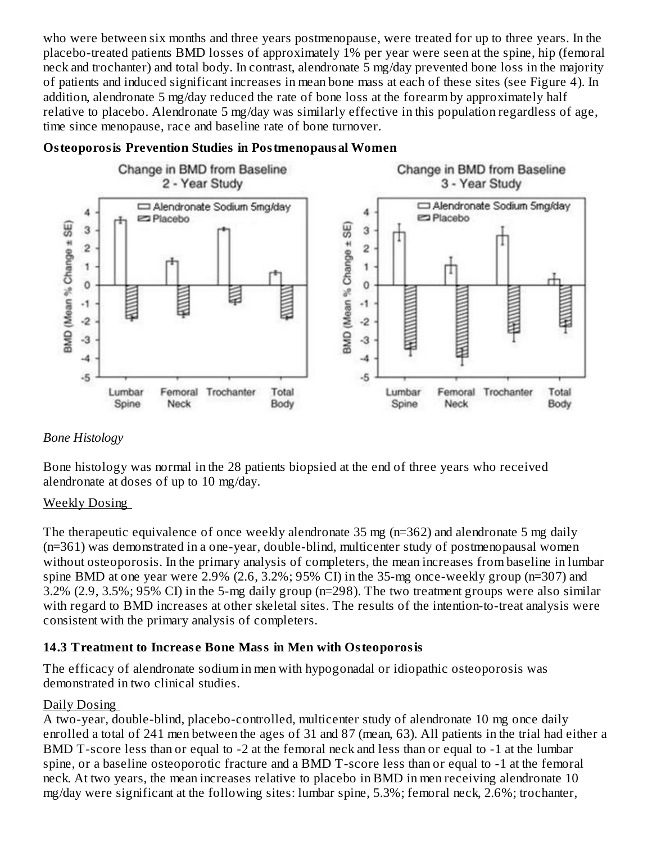who were between six months and three years postmenopause, were treated for up to three years. In the placebo-treated patients BMD losses of approximately 1% per year were seen at the spine, hip (femoral neck and trochanter) and total body. In contrast, alendronate 5 mg/day prevented bone loss in the majority of patients and induced significant increases in mean bone mass at each of these sites (see Figure 4). In addition, alendronate 5 mg/day reduced the rate of bone loss at the forearm by approximately half relative to placebo. Alendronate 5 mg/day was similarly effective in this population regardless of age, time since menopause, race and baseline rate of bone turnover.



### **Osteoporosis Prevention Studies in Postmenopausal Women**

### *Bone Histology*

Bone histology was normal in the 28 patients biopsied at the end of three years who received alendronate at doses of up to 10 mg/day.

### Weekly Dosing

The therapeutic equivalence of once weekly alendronate 35 mg (n=362) and alendronate 5 mg daily (n=361) was demonstrated in a one-year, double-blind, multicenter study of postmenopausal women without osteoporosis. In the primary analysis of completers, the mean increases from baseline in lumbar spine BMD at one year were 2.9% (2.6, 3.2%; 95% CI) in the 35-mg once-weekly group (n=307) and 3.2% (2.9, 3.5%; 95% CI) in the 5-mg daily group (n=298). The two treatment groups were also similar with regard to BMD increases at other skeletal sites. The results of the intention-to-treat analysis were consistent with the primary analysis of completers.

### **14.3 Treatment to Increas e Bone Mass in Men with Osteoporosis**

The efficacy of alendronate sodium in men with hypogonadal or idiopathic osteoporosis was demonstrated in two clinical studies.

### Daily Dosing

A two-year, double-blind, placebo-controlled, multicenter study of alendronate 10 mg once daily enrolled a total of 241 men between the ages of 31 and 87 (mean, 63). All patients in the trial had either a BMD T-score less than or equal to -2 at the femoral neck and less than or equal to -1 at the lumbar spine, or a baseline osteoporotic fracture and a BMD T-score less than or equal to -1 at the femoral neck. At two years, the mean increases relative to placebo in BMD in men receiving alendronate 10 mg/day were significant at the following sites: lumbar spine, 5.3%; femoral neck, 2.6%; trochanter,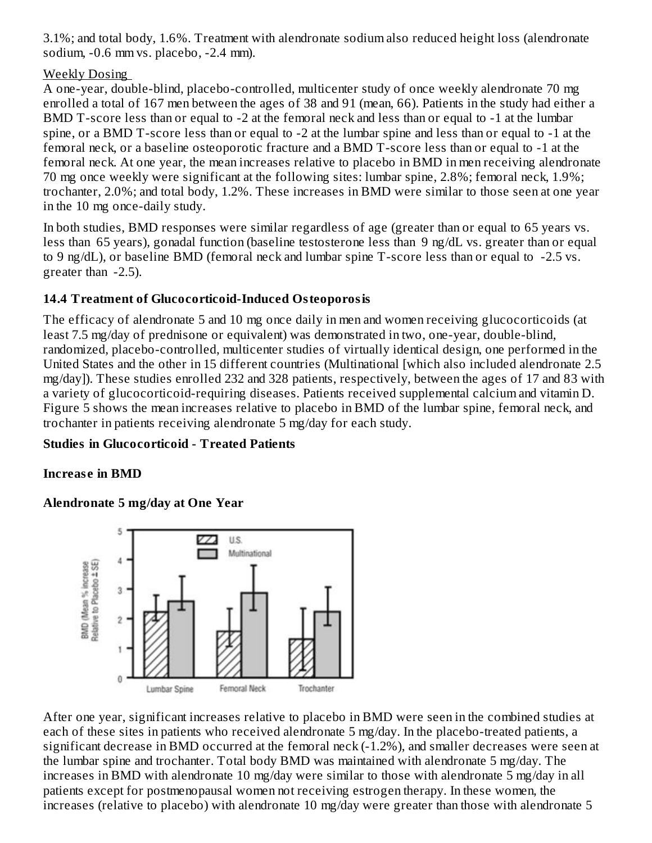3.1%; and total body, 1.6%. Treatment with alendronate sodium also reduced height loss (alendronate sodium, -0.6 mm vs. placebo, -2.4 mm).

# Weekly Dosing

A one-year, double-blind, placebo-controlled, multicenter study of once weekly alendronate 70 mg enrolled a total of 167 men between the ages of 38 and 91 (mean, 66). Patients in the study had either a BMD T-score less than or equal to -2 at the femoral neck and less than or equal to -1 at the lumbar spine, or a BMD T-score less than or equal to -2 at the lumbar spine and less than or equal to -1 at the femoral neck, or a baseline osteoporotic fracture and a BMD T-score less than or equal to -1 at the femoral neck. At one year, the mean increases relative to placebo in BMD in men receiving alendronate 70 mg once weekly were significant at the following sites: lumbar spine, 2.8%; femoral neck, 1.9%; trochanter, 2.0%; and total body, 1.2%. These increases in BMD were similar to those seen at one year in the 10 mg once-daily study.

In both studies, BMD responses were similar regardless of age (greater than or equal to 65 years vs. less than 65 years), gonadal function (baseline testosterone less than 9 ng/dL vs. greater than or equal to 9 ng/dL), or baseline BMD (femoral neck and lumbar spine T-score less than or equal to -2.5 vs. greater than -2.5).

# **14.4 Treatment of Glucocorticoid-Induced Osteoporosis**

The efficacy of alendronate 5 and 10 mg once daily in men and women receiving glucocorticoids (at least 7.5 mg/day of prednisone or equivalent) was demonstrated in two, one-year, double-blind, randomized, placebo-controlled, multicenter studies of virtually identical design, one performed in the United States and the other in 15 different countries (Multinational [which also included alendronate 2.5 mg/day]). These studies enrolled 232 and 328 patients, respectively, between the ages of 17 and 83 with a variety of glucocorticoid-requiring diseases. Patients received supplemental calcium and vitamin D. Figure 5 shows the mean increases relative to placebo in BMD of the lumbar spine, femoral neck, and trochanter in patients receiving alendronate 5 mg/day for each study.

# **Studies in Glucocorticoid - Treated Patients**

# **Increas e in BMD**

# **Alendronate 5 mg/day at One Year**



After one year, significant increases relative to placebo in BMD were seen in the combined studies at each of these sites in patients who received alendronate 5 mg/day. In the placebo-treated patients, a significant decrease in BMD occurred at the femoral neck (-1.2%), and smaller decreases were seen at the lumbar spine and trochanter. Total body BMD was maintained with alendronate 5 mg/day. The increases in BMD with alendronate 10 mg/day were similar to those with alendronate 5 mg/day in all patients except for postmenopausal women not receiving estrogen therapy. In these women, the increases (relative to placebo) with alendronate 10 mg/day were greater than those with alendronate 5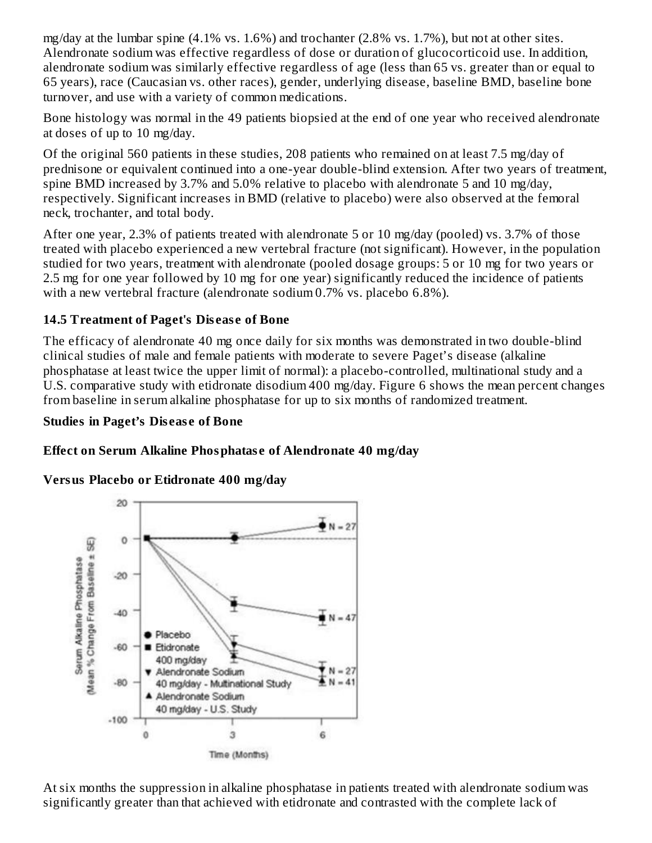mg/day at the lumbar spine (4.1% vs. 1.6%) and trochanter (2.8% vs. 1.7%), but not at other sites. Alendronate sodium was effective regardless of dose or duration of glucocorticoid use. In addition, alendronate sodium was similarly effective regardless of age (less than 65 vs. greater than or equal to 65 years), race (Caucasian vs. other races), gender, underlying disease, baseline BMD, baseline bone turnover, and use with a variety of common medications.

Bone histology was normal in the 49 patients biopsied at the end of one year who received alendronate at doses of up to 10 mg/day.

Of the original 560 patients in these studies, 208 patients who remained on at least 7.5 mg/day of prednisone or equivalent continued into a one-year double-blind extension. After two years of treatment, spine BMD increased by 3.7% and 5.0% relative to placebo with alendronate 5 and 10 mg/day, respectively. Significant increases in BMD (relative to placebo) were also observed at the femoral neck, trochanter, and total body.

After one year, 2.3% of patients treated with alendronate 5 or 10 mg/day (pooled) vs. 3.7% of those treated with placebo experienced a new vertebral fracture (not significant). However, in the population studied for two years, treatment with alendronate (pooled dosage groups: 5 or 10 mg for two years or 2.5 mg for one year followed by 10 mg for one year) significantly reduced the incidence of patients with a new vertebral fracture (alendronate sodium 0.7% vs. placebo 6.8%).

### **14.5 Treatment of Paget's Dis eas e of Bone**

The efficacy of alendronate 40 mg once daily for six months was demonstrated in two double-blind clinical studies of male and female patients with moderate to severe Paget's disease (alkaline phosphatase at least twice the upper limit of normal): a placebo-controlled, multinational study and a U.S. comparative study with etidronate disodium 400 mg/day. Figure 6 shows the mean percent changes from baseline in serum alkaline phosphatase for up to six months of randomized treatment.

### **Studies in Paget's Dis eas e of Bone**

### **Effect on Serum Alkaline Phosphatas e of Alendronate 40 mg/day**

### **Versus Placebo or Etidronate 400 mg/day**



At six months the suppression in alkaline phosphatase in patients treated with alendronate sodium was significantly greater than that achieved with etidronate and contrasted with the complete lack of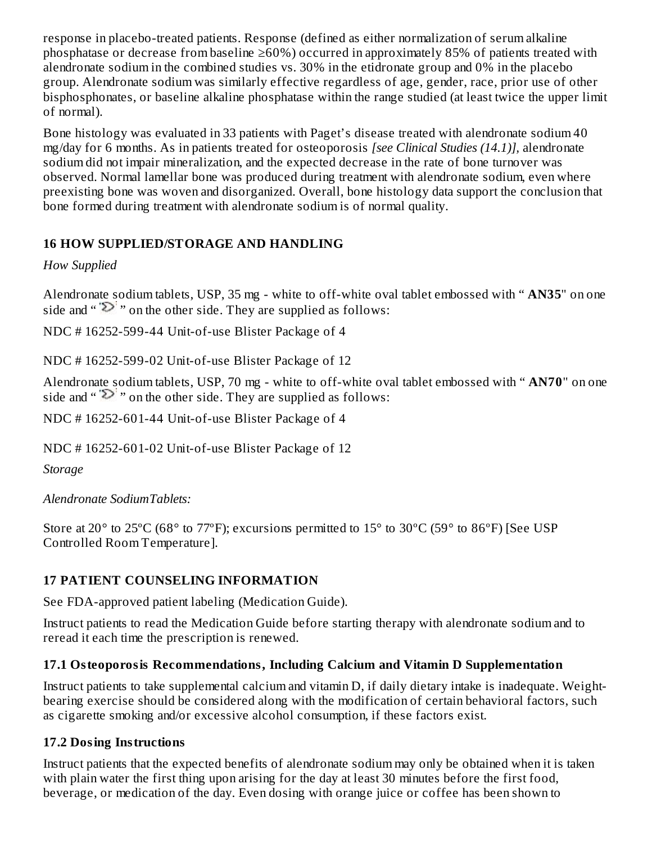response in placebo-treated patients. Response (defined as either normalization of serum alkaline phosphatase or decrease from baseline ≥60%) occurred in approximately 85% of patients treated with alendronate sodium in the combined studies vs. 30% in the etidronate group and 0% in the placebo group. Alendronate sodium was similarly effective regardless of age, gender, race, prior use of other bisphosphonates, or baseline alkaline phosphatase within the range studied (at least twice the upper limit of normal).

Bone histology was evaluated in 33 patients with Paget's disease treated with alendronate sodium 40 mg/day for 6 months. As in patients treated for osteoporosis *[see Clinical Studies (14.1)],* alendronate sodium did not impair mineralization, and the expected decrease in the rate of bone turnover was observed. Normal lamellar bone was produced during treatment with alendronate sodium, even where preexisting bone was woven and disorganized. Overall, bone histology data support the conclusion that bone formed during treatment with alendronate sodium is of normal quality.

# **16 HOW SUPPLIED/STORAGE AND HANDLING**

# *How Supplied*

Alendronate sodium tablets, USP, 35 mg - white to off-white oval tablet embossed with " **AN35**" on one side and " $\sum$ " on the other side. They are supplied as follows:

NDC # 16252-599-44 Unit-of-use Blister Package of 4

NDC # 16252-599-02 Unit-of-use Blister Package of 12

Alendronate sodium tablets, USP, 70 mg - white to off-white oval tablet embossed with " **AN70**" on one side and " $\sum$ " on the other side. They are supplied as follows:

NDC # 16252-601-44 Unit-of-use Blister Package of 4

NDC # 16252-601-02 Unit-of-use Blister Package of 12

*Storage*

*Alendronate SodiumTablets:*

Store at 20 $\degree$  to 25 $\degree$ C (68 $\degree$  to 77 $\degree$ F); excursions permitted to 15 $\degree$  to 30 $\degree$ C (59 $\degree$  to 86 $\degree$ F) [See USP Controlled Room Temperature].

# **17 PATIENT COUNSELING INFORMATION**

See FDA-approved patient labeling (Medication Guide).

Instruct patients to read the Medication Guide before starting therapy with alendronate sodium and to reread it each time the prescription is renewed.

# **17.1 Osteoporosis Recommendations, Including Calcium and Vitamin D Supplementation**

Instruct patients to take supplemental calcium and vitamin D, if daily dietary intake is inadequate. Weightbearing exercise should be considered along with the modification of certain behavioral factors, such as cigarette smoking and/or excessive alcohol consumption, if these factors exist.

# **17.2 Dosing Instructions**

Instruct patients that the expected benefits of alendronate sodium may only be obtained when it is taken with plain water the first thing upon arising for the day at least 30 minutes before the first food, beverage, or medication of the day. Even dosing with orange juice or coffee has been shown to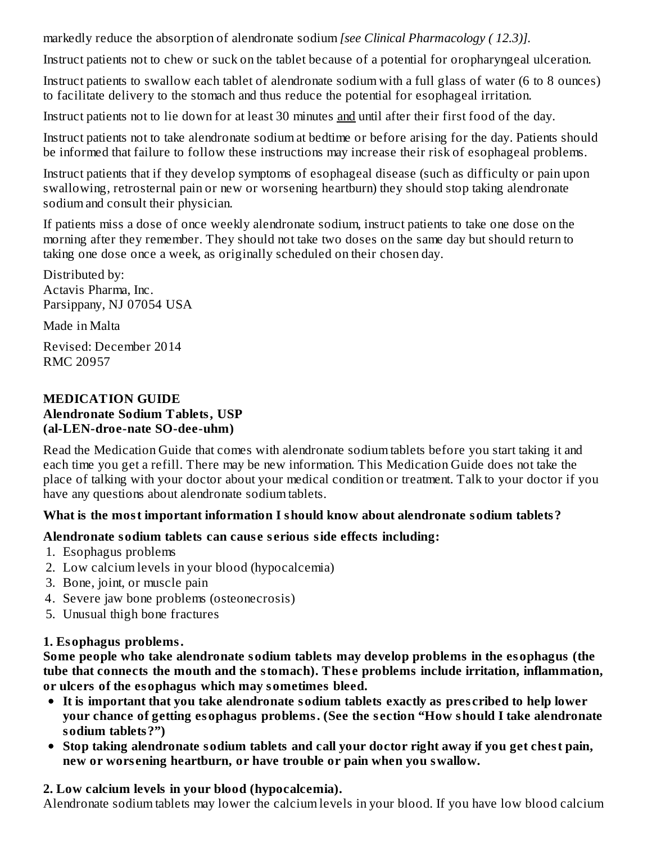markedly reduce the absorption of alendronate sodium *[see Clinical Pharmacology ( 12.3)].*

Instruct patients not to chew or suck on the tablet because of a potential for oropharyngeal ulceration.

Instruct patients to swallow each tablet of alendronate sodium with a full glass of water (6 to 8 ounces) to facilitate delivery to the stomach and thus reduce the potential for esophageal irritation.

Instruct patients not to lie down for at least 30 minutes and until after their first food of the day.

Instruct patients not to take alendronate sodium at bedtime or before arising for the day. Patients should be informed that failure to follow these instructions may increase their risk of esophageal problems.

Instruct patients that if they develop symptoms of esophageal disease (such as difficulty or pain upon swallowing, retrosternal pain or new or worsening heartburn) they should stop taking alendronate sodium and consult their physician.

If patients miss a dose of once weekly alendronate sodium, instruct patients to take one dose on the morning after they remember. They should not take two doses on the same day but should return to taking one dose once a week, as originally scheduled on their chosen day.

Distributed by: Actavis Pharma, Inc. Parsippany, NJ 07054 USA

Made in Malta

Revised: December 2014 RMC 20957

### **MEDICATION GUIDE Alendronate Sodium Tablets, USP (al-LEN-droe-nate SO-dee-uhm)**

Read the Medication Guide that comes with alendronate sodium tablets before you start taking it and each time you get a refill. There may be new information. This Medication Guide does not take the place of talking with your doctor about your medical condition or treatment. Talk to your doctor if you have any questions about alendronate sodium tablets.

### **What is the most important information I should know about alendronate sodium tablets?**

### **Alendronate sodium tablets can caus e s erious side effects including:**

- 1. Esophagus problems
- 2. Low calcium levels in your blood (hypocalcemia)
- 3. Bone, joint, or muscle pain
- 4. Severe jaw bone problems (osteonecrosis)
- 5. Unusual thigh bone fractures

### **1. Esophagus problems.**

**Some people who take alendronate sodium tablets may develop problems in the esophagus (the tube that connects the mouth and the stomach). Thes e problems include irritation, inflammation, or ulcers of the esophagus which may sometimes bleed.**

- **It is important that you take alendronate sodium tablets exactly as pres cribed to help lower your chance of getting esophagus problems. (See the s ection "How should I take alendronate sodium tablets?")**
- **Stop taking alendronate sodium tablets and call your doctor right away if you get chest pain, new or wors ening heartburn, or have trouble or pain when you swallow.**

### **2. Low calcium levels in your blood (hypocalcemia).**

Alendronate sodium tablets may lower the calcium levels in your blood. If you have low blood calcium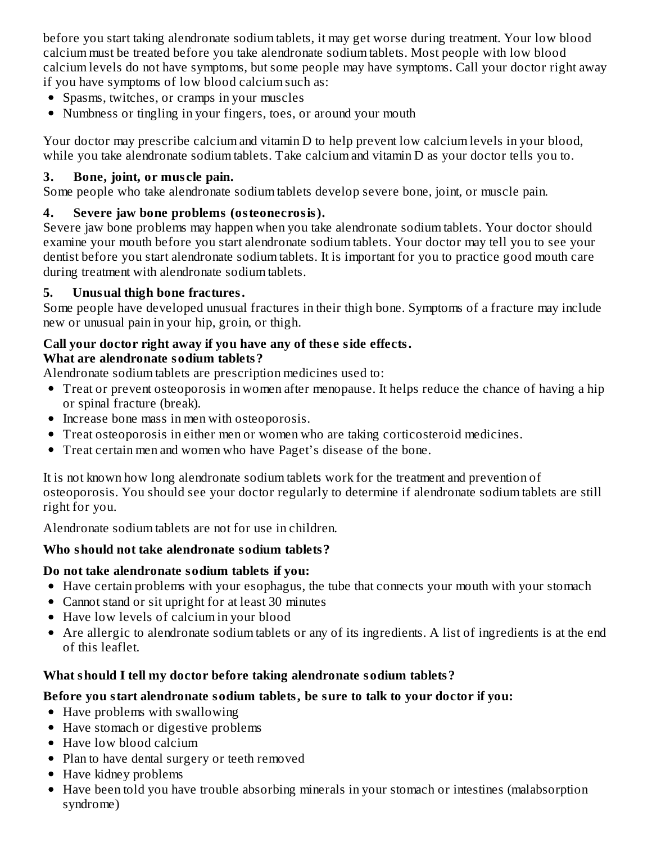before you start taking alendronate sodium tablets, it may get worse during treatment. Your low blood calcium must be treated before you take alendronate sodium tablets. Most people with low blood calcium levels do not have symptoms, but some people may have symptoms. Call your doctor right away if you have symptoms of low blood calcium such as:

- Spasms, twitches, or cramps in your muscles
- Numbness or tingling in your fingers, toes, or around your mouth

Your doctor may prescribe calcium and vitamin D to help prevent low calcium levels in your blood, while you take alendronate sodium tablets. Take calcium and vitamin D as your doctor tells you to.

### **3. Bone, joint, or mus cle pain.**

Some people who take alendronate sodium tablets develop severe bone, joint, or muscle pain.

# **4. Severe jaw bone problems (osteonecrosis).**

Severe jaw bone problems may happen when you take alendronate sodium tablets. Your doctor should examine your mouth before you start alendronate sodium tablets. Your doctor may tell you to see your dentist before you start alendronate sodium tablets. It is important for you to practice good mouth care during treatment with alendronate sodium tablets.

### **5. Unusual thigh bone fractures.**

Some people have developed unusual fractures in their thigh bone. Symptoms of a fracture may include new or unusual pain in your hip, groin, or thigh.

### **Call your doctor right away if you have any of thes e side effects. What are alendronate sodium tablets?**

Alendronate sodium tablets are prescription medicines used to:

- Treat or prevent osteoporosis in women after menopause. It helps reduce the chance of having a hip or spinal fracture (break).
- Increase bone mass in men with osteoporosis.
- Treat osteoporosis in either men or women who are taking corticosteroid medicines.
- Treat certain men and women who have Paget's disease of the bone.

It is not known how long alendronate sodium tablets work for the treatment and prevention of osteoporosis. You should see your doctor regularly to determine if alendronate sodium tablets are still right for you.

Alendronate sodium tablets are not for use in children.

# **Who should not take alendronate sodium tablets?**

### **Do not take alendronate sodium tablets if you:**

- Have certain problems with your esophagus, the tube that connects your mouth with your stomach
- Cannot stand or sit upright for at least 30 minutes
- Have low levels of calcium in your blood
- Are allergic to alendronate sodium tablets or any of its ingredients. A list of ingredients is at the end of this leaflet.

# **What should I tell my doctor before taking alendronate sodium tablets?**

### **Before you start alendronate sodium tablets, be sure to talk to your doctor if you:**

- Have problems with swallowing
- Have stomach or digestive problems
- Have low blood calcium
- Plan to have dental surgery or teeth removed
- Have kidney problems
- Have been told you have trouble absorbing minerals in your stomach or intestines (malabsorption syndrome)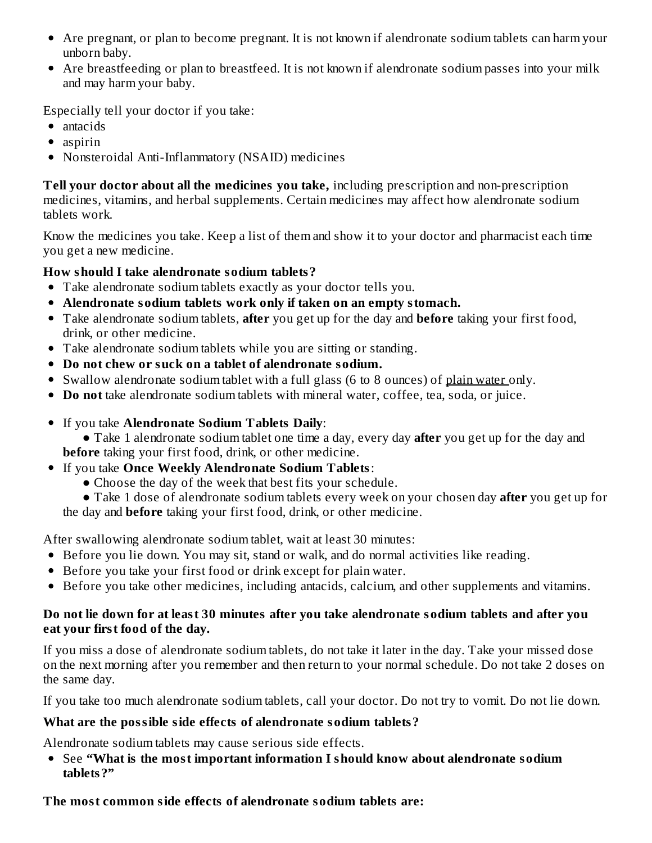- Are pregnant, or plan to become pregnant. It is not known if alendronate sodium tablets can harm your unborn baby.
- Are breastfeeding or plan to breastfeed. It is not known if alendronate sodium passes into your milk and may harm your baby.

Especially tell your doctor if you take:

- antacids
- aspirin
- Nonsteroidal Anti-Inflammatory (NSAID) medicines

**Tell your doctor about all the medicines you take,** including prescription and non-prescription medicines, vitamins, and herbal supplements. Certain medicines may affect how alendronate sodium tablets work.

Know the medicines you take. Keep a list of them and show it to your doctor and pharmacist each time you get a new medicine.

# **How should I take alendronate sodium tablets?**

- Take alendronate sodium tablets exactly as your doctor tells you.
- **Alendronate sodium tablets work only if taken on an empty stomach.**
- Take alendronate sodium tablets, **after** you get up for the day and **before** taking your first food, drink, or other medicine.
- Take alendronate sodium tablets while you are sitting or standing.
- **Do not chew or suck on a tablet of alendronate sodium.**
- Swallow alendronate sodium tablet with a full glass (6 to 8 ounces) of plain water only.
- **Do not** take alendronate sodium tablets with mineral water, coffee, tea, soda, or juice.
- If you take **Alendronate Sodium Tablets Daily**:

● Take 1 alendronate sodium tablet one time a day, every day **after** you get up for the day and **before** taking your first food, drink, or other medicine.

# If you take **Once Weekly Alendronate Sodium Tablets**:

• Choose the day of the week that best fits your schedule.

● Take 1 dose of alendronate sodium tablets every week on your chosen day **after** you get up for the day and **before** taking your first food, drink, or other medicine.

After swallowing alendronate sodium tablet, wait at least 30 minutes:

- Before you lie down. You may sit, stand or walk, and do normal activities like reading.
- Before you take your first food or drink except for plain water.
- Before you take other medicines, including antacids, calcium, and other supplements and vitamins.

### **Do not lie down for at least 30 minutes after you take alendronate sodium tablets and after you eat your first food of the day.**

If you miss a dose of alendronate sodium tablets, do not take it later in the day. Take your missed dose on the next morning after you remember and then return to your normal schedule. Do not take 2 doses on the same day.

If you take too much alendronate sodium tablets, call your doctor. Do not try to vomit. Do not lie down.

# **What are the possible side effects of alendronate sodium tablets?**

Alendronate sodium tablets may cause serious side effects.

See **"What is the most important information I should know about alendronate sodium tablets?"**

# **The most common side effects of alendronate sodium tablets are:**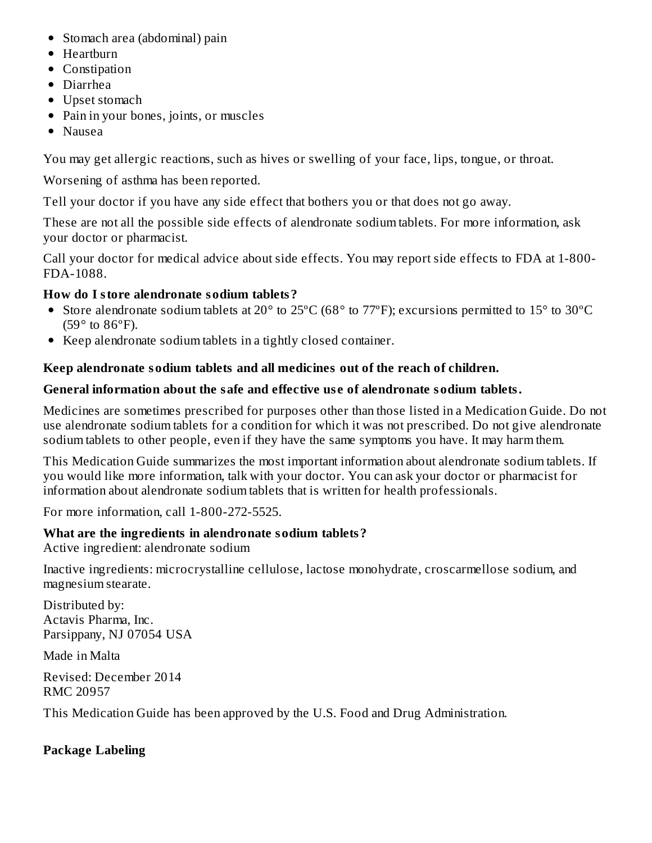- Stomach area (abdominal) pain
- Heartburn
- Constipation
- Diarrhea
- Upset stomach
- Pain in your bones, joints, or muscles
- Nausea

You may get allergic reactions, such as hives or swelling of your face, lips, tongue, or throat.

Worsening of asthma has been reported.

Tell your doctor if you have any side effect that bothers you or that does not go away.

These are not all the possible side effects of alendronate sodium tablets. For more information, ask your doctor or pharmacist.

Call your doctor for medical advice about side effects. You may report side effects to FDA at 1-800- FDA-1088.

# **How do I store alendronate sodium tablets?**

- Store alendronate sodium tablets at 20° to 25°C (68° to 77°F); excursions permitted to 15° to 30°C  $(59° to 86° F).$
- Keep alendronate sodium tablets in a tightly closed container.

# **Keep alendronate sodium tablets and all medicines out of the reach of children.**

# **General information about the safe and effective us e of alendronate sodium tablets.**

Medicines are sometimes prescribed for purposes other than those listed in a Medication Guide. Do not use alendronate sodium tablets for a condition for which it was not prescribed. Do not give alendronate sodium tablets to other people, even if they have the same symptoms you have. It may harm them.

This Medication Guide summarizes the most important information about alendronate sodium tablets. If you would like more information, talk with your doctor. You can ask your doctor or pharmacist for information about alendronate sodium tablets that is written for health professionals.

For more information, call 1-800-272-5525.

# **What are the ingredients in alendronate sodium tablets?**

Active ingredient: alendronate sodium

Inactive ingredients: microcrystalline cellulose, lactose monohydrate, croscarmellose sodium, and magnesium stearate.

Distributed by: Actavis Pharma, Inc. Parsippany, NJ 07054 USA

Made in Malta

Revised: December 2014 RMC 20957

This Medication Guide has been approved by the U.S. Food and Drug Administration.

# **Package Labeling**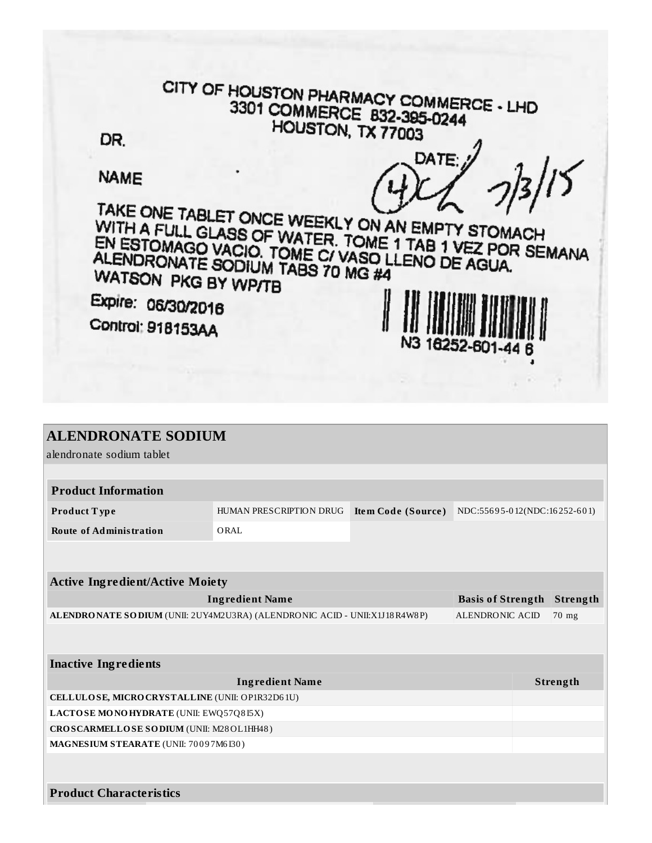| CITY OF HOUSTON PHARMACY COMMERCE - LHD<br>3301 COMMERCE 832-395-0244<br>HOUSTON, TX 77003 |
|--------------------------------------------------------------------------------------------|
|--------------------------------------------------------------------------------------------|

DR.

# **NAME**

TAKE ONE TABLET ONCE WEEKLY ON AN EMPTY STOMACH WITH A FULL GLASS OF WATER. TOME 1 TAB 1 VEZ POR SEMANA EN ESTOMAGO VACIO. TOME C/ VASO LLENO DE AGUA.<br>ALENDRONATE SODIUM TABS 70 MG #4<br>WATSON PKG BY WP/TB WATSON PKG BY WP/TB

Expire: 06/30/2016 Control: 918153AA

# **ALENDRONATE SODIUM** alendronate sodium tablet **Product Information Product T ype** HUMAN PRESCRIPTION DRUG **Ite m Code (Source )** NDC:556 9 5-0 12(NDC:16 252-6 0 1) **Route of Administration** ORAL **Active Ingredient/Active Moiety Ingredient Name Basis of Strength Strength ALENDRONATE SODIUM** (UNII: 2UY4M2U3RA) (ALENDRONIC ACID - UNII:X1J18R4W8 P) ALENDRONIC ACID 70 mg **Inactive Ingredients Ingredient Name Strength CELLULOSE, MICROCRYSTALLINE** (UNII: OP1R32D6 1U) **LACTOSE MONOHYDRATE** (UNII: EWQ57Q8 I5X) **CROSCARMELLOSE SODIUM** (UNII: M28OL1HH48 ) **MAGNESIUM STEARATE** (UNII: 70 0 9 7M6 I30 ) **Product Characteristics**